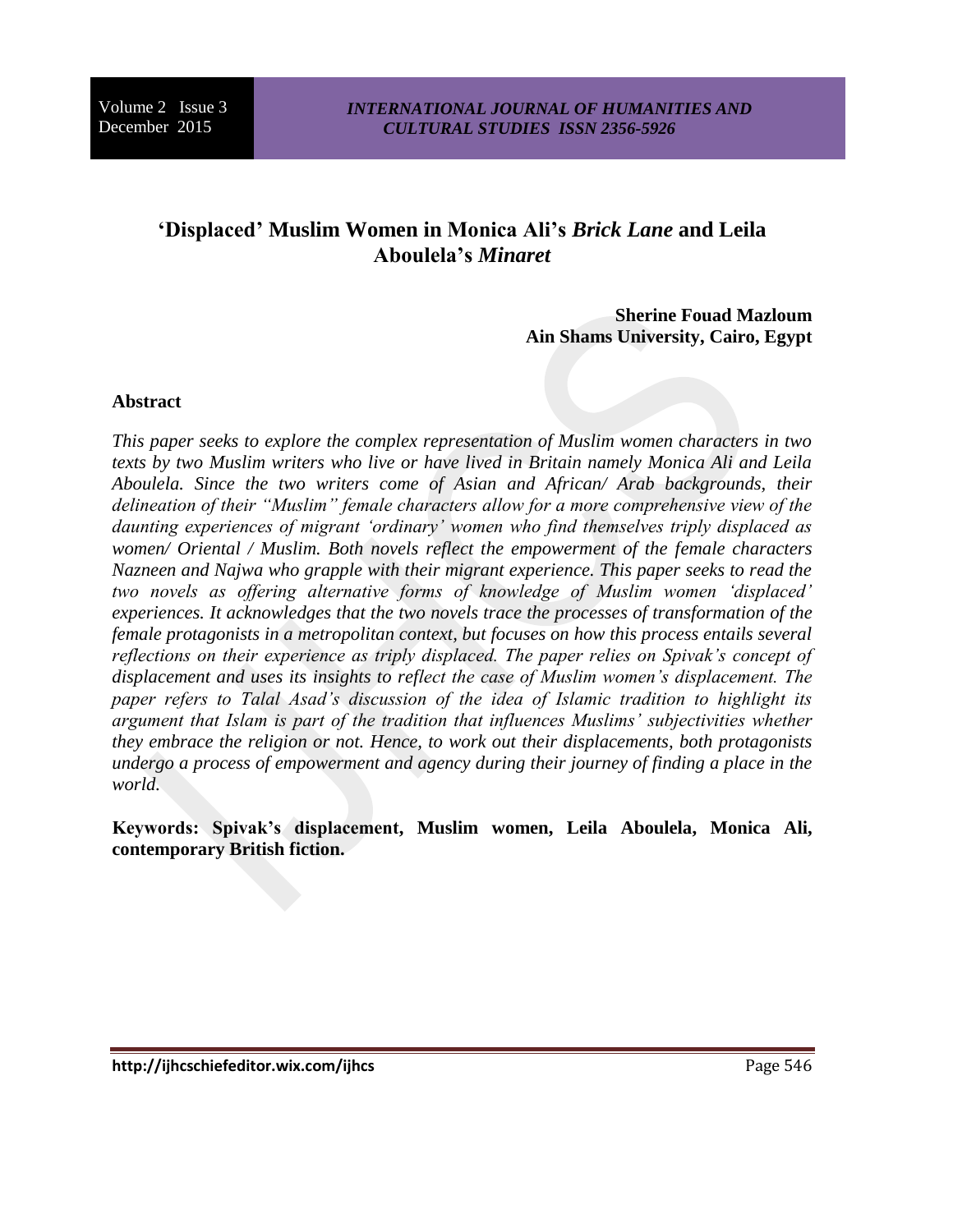# **'Displaced' Muslim Women in Monica Ali's** *Brick Lane* **and Leila Aboulela's** *Minaret*

**Sherine Fouad Mazloum Ain Shams University, Cairo, Egypt**

## **Abstract**

*This paper seeks to explore the complex representation of Muslim women characters in two texts by two Muslim writers who live or have lived in Britain namely Monica Ali and Leila Aboulela. Since the two writers come of Asian and African/ Arab backgrounds, their delineation of their "Muslim" female characters allow for a more comprehensive view of the daunting experiences of migrant 'ordinary' women who find themselves triply displaced as women/ Oriental / Muslim. Both novels reflect the empowerment of the female characters Nazneen and Najwa who grapple with their migrant experience. This paper seeks to read the two novels as offering alternative forms of knowledge of Muslim women 'displaced' experiences. It acknowledges that the two novels trace the processes of transformation of the female protagonists in a metropolitan context, but focuses on how this process entails several reflections on their experience as triply displaced. The paper relies on Spivak's concept of displacement and uses its insights to reflect the case of Muslim women's displacement. The paper refers to Talal Asad's discussion of the idea of Islamic tradition to highlight its argument that Islam is part of the tradition that influences Muslims' subjectivities whether they embrace the religion or not. Hence, to work out their displacements, both protagonists undergo a process of empowerment and agency during their journey of finding a place in the world.* 

**Keywords: Spivak's displacement, Muslim women, Leila Aboulela, Monica Ali, contemporary British fiction.**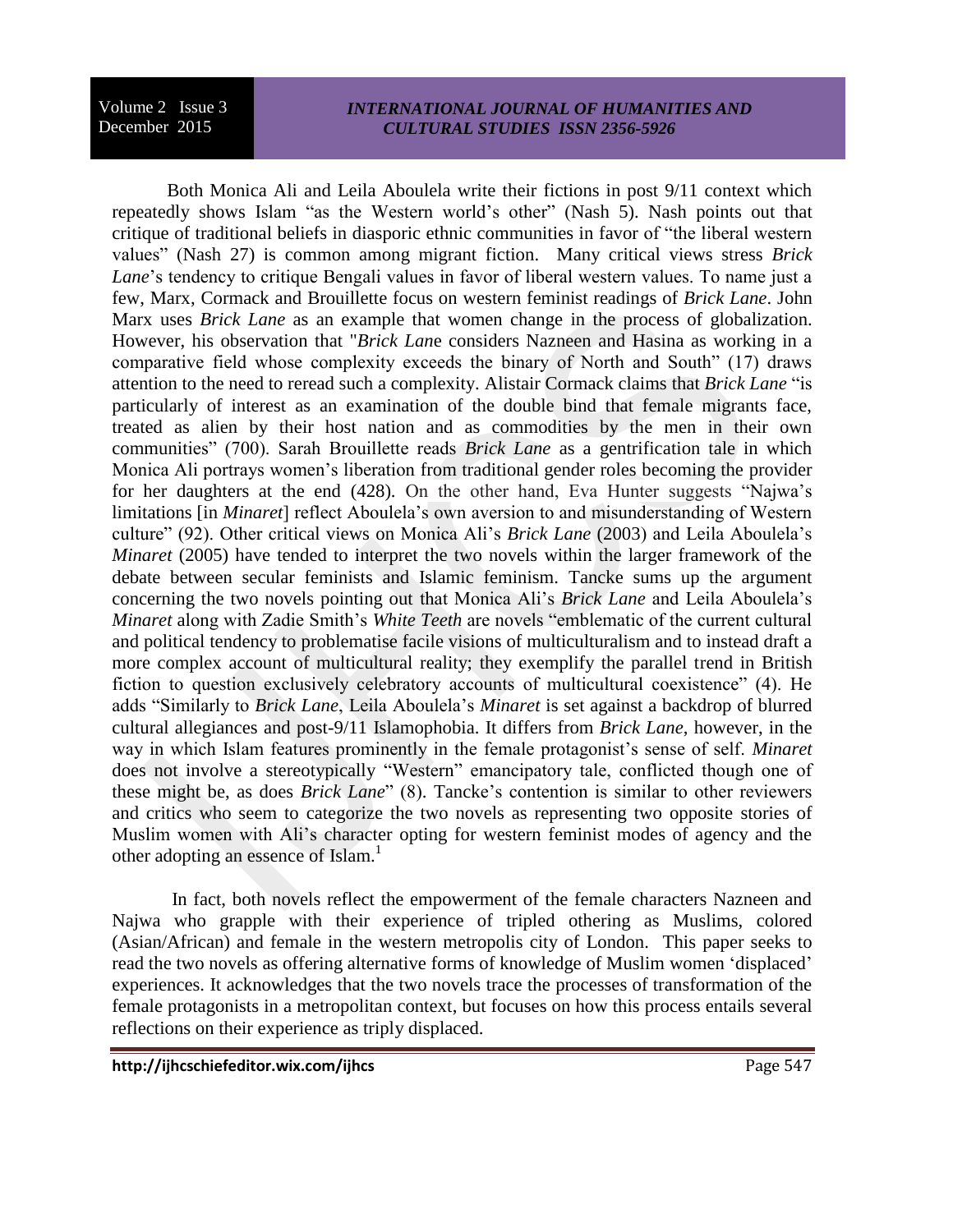#### *INTERNATIONAL JOURNAL OF HUMANITIES AND CULTURAL STUDIES ISSN 2356-5926*

Both Monica Ali and Leila Aboulela write their fictions in post 9/11 context which repeatedly shows Islam "as the Western world's other" (Nash 5). Nash points out that critique of traditional beliefs in diasporic ethnic communities in favor of "the liberal western values" (Nash 27) is common among migrant fiction. Many critical views stress *Brick Lane*'s tendency to critique Bengali values in favor of liberal western values. To name just a few, Marx, Cormack and Brouillette focus on western feminist readings of *Brick Lane*. John Marx uses *Brick Lane* as an example that women change in the process of globalization. However, his observation that "*Brick Lan*e considers Nazneen and Hasina as working in a comparative field whose complexity exceeds the binary of North and South" (17) draws attention to the need to reread such a complexity. Alistair Cormack claims that *Brick Lane* "is particularly of interest as an examination of the double bind that female migrants face, treated as alien by their host nation and as commodities by the men in their own communities" (700). Sarah Brouillette reads *Brick Lane* as a gentrification tale in which Monica Ali portrays women's liberation from traditional gender roles becoming the provider for her daughters at the end (428). On the other hand, Eva Hunter suggests "Najwa's limitations [in *Minaret*] reflect Aboulela's own aversion to and misunderstanding of Western culture" (92). Other critical views on Monica Ali's *Brick Lane* (2003) and Leila Aboulela's *Minaret* (2005) have tended to interpret the two novels within the larger framework of the debate between secular feminists and Islamic feminism. Tancke sums up the argument concerning the two novels pointing out that Monica Ali's *Brick Lane* and Leila Aboulela's *Minaret* along with Zadie Smith's *White Teeth* are novels "emblematic of the current cultural and political tendency to problematise facile visions of multiculturalism and to instead draft a more complex account of multicultural reality; they exemplify the parallel trend in British fiction to question exclusively celebratory accounts of multicultural coexistence" (4). He adds "Similarly to *Brick Lane*, Leila Aboulela's *Minaret* is set against a backdrop of blurred cultural allegiances and post-9/11 Islamophobia. It differs from *Brick Lane*, however, in the way in which Islam features prominently in the female protagonist's sense of self. *Minaret*  does not involve a stereotypically "Western" emancipatory tale, conflicted though one of these might be, as does *Brick Lane*" (8). Tancke's contention is similar to other reviewers and critics who seem to categorize the two novels as representing two opposite stories of Muslim women with Ali's character opting for western feminist modes of agency and the other adopting an essence of Islam.<sup>1</sup>

In fact, both novels reflect the empowerment of the female characters Nazneen and Najwa who grapple with their experience of tripled othering as Muslims, colored (Asian/African) and female in the western metropolis city of London. This paper seeks to read the two novels as offering alternative forms of knowledge of Muslim women 'displaced' experiences. It acknowledges that the two novels trace the processes of transformation of the female protagonists in a metropolitan context, but focuses on how this process entails several reflections on their experience as triply displaced.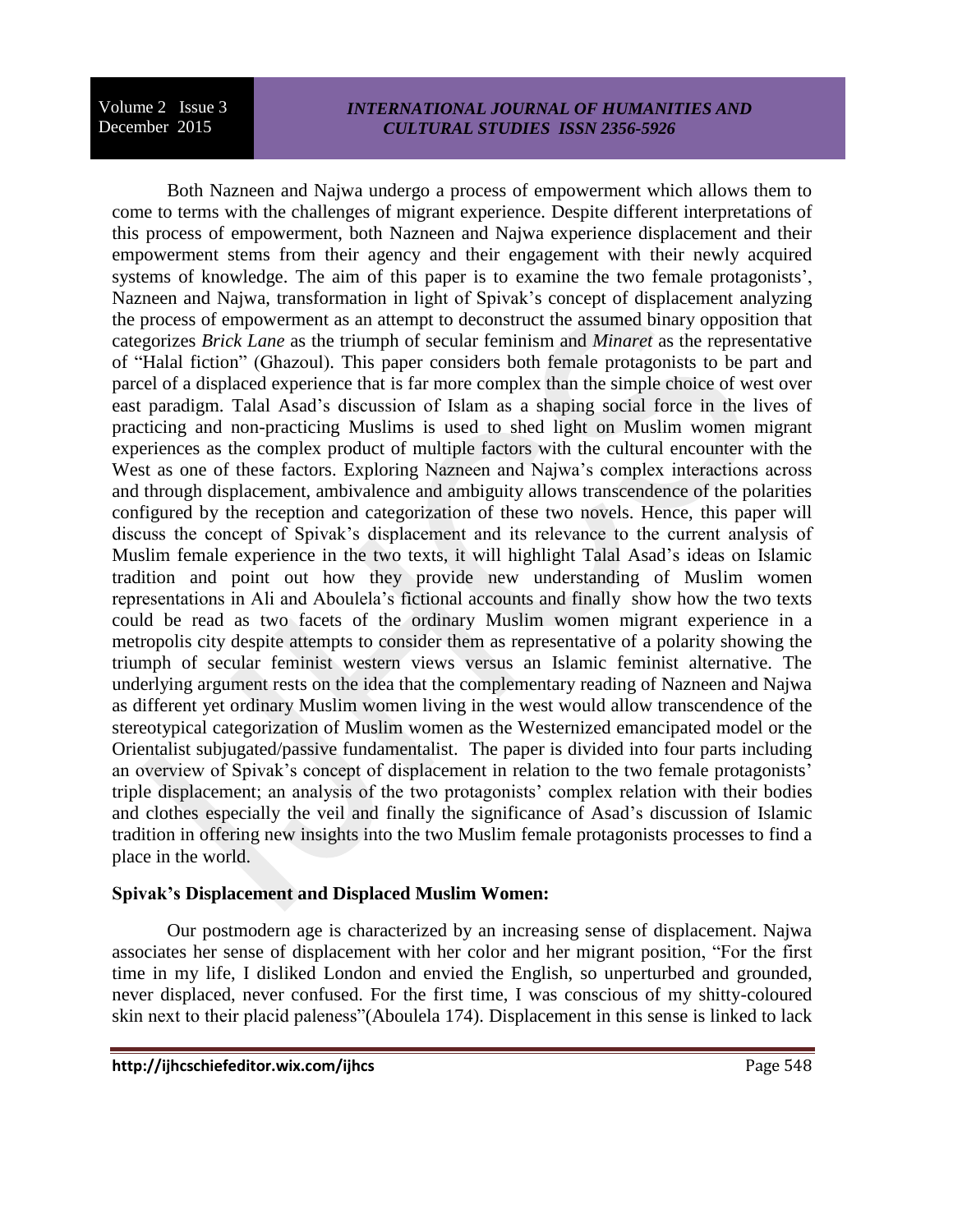## *INTERNATIONAL JOURNAL OF HUMANITIES AND CULTURAL STUDIES ISSN 2356-5926*

Both Nazneen and Najwa undergo a process of empowerment which allows them to come to terms with the challenges of migrant experience. Despite different interpretations of this process of empowerment, both Nazneen and Najwa experience displacement and their empowerment stems from their agency and their engagement with their newly acquired systems of knowledge. The aim of this paper is to examine the two female protagonists', Nazneen and Najwa, transformation in light of Spivak's concept of displacement analyzing the process of empowerment as an attempt to deconstruct the assumed binary opposition that categorizes *Brick Lane* as the triumph of secular feminism and *Minaret* as the representative of "Halal fiction" (Ghazoul). This paper considers both female protagonists to be part and parcel of a displaced experience that is far more complex than the simple choice of west over east paradigm. Talal Asad's discussion of Islam as a shaping social force in the lives of practicing and non-practicing Muslims is used to shed light on Muslim women migrant experiences as the complex product of multiple factors with the cultural encounter with the West as one of these factors. Exploring Nazneen and Najwa's complex interactions across and through displacement, ambivalence and ambiguity allows transcendence of the polarities configured by the reception and categorization of these two novels. Hence, this paper will discuss the concept of Spivak's displacement and its relevance to the current analysis of Muslim female experience in the two texts, it will highlight Talal Asad's ideas on Islamic tradition and point out how they provide new understanding of Muslim women representations in Ali and Aboulela's fictional accounts and finally show how the two texts could be read as two facets of the ordinary Muslim women migrant experience in a metropolis city despite attempts to consider them as representative of a polarity showing the triumph of secular feminist western views versus an Islamic feminist alternative. The underlying argument rests on the idea that the complementary reading of Nazneen and Najwa as different yet ordinary Muslim women living in the west would allow transcendence of the stereotypical categorization of Muslim women as the Westernized emancipated model or the Orientalist subjugated/passive fundamentalist. The paper is divided into four parts including an overview of Spivak's concept of displacement in relation to the two female protagonists' triple displacement; an analysis of the two protagonists' complex relation with their bodies and clothes especially the veil and finally the significance of Asad's discussion of Islamic tradition in offering new insights into the two Muslim female protagonists processes to find a place in the world.

## **Spivak's Displacement and Displaced Muslim Women:**

Our postmodern age is characterized by an increasing sense of displacement. Najwa associates her sense of displacement with her color and her migrant position, "For the first time in my life, I disliked London and envied the English, so unperturbed and grounded, never displaced, never confused. For the first time, I was conscious of my shitty-coloured skin next to their placid paleness"(Aboulela 174). Displacement in this sense is linked to lack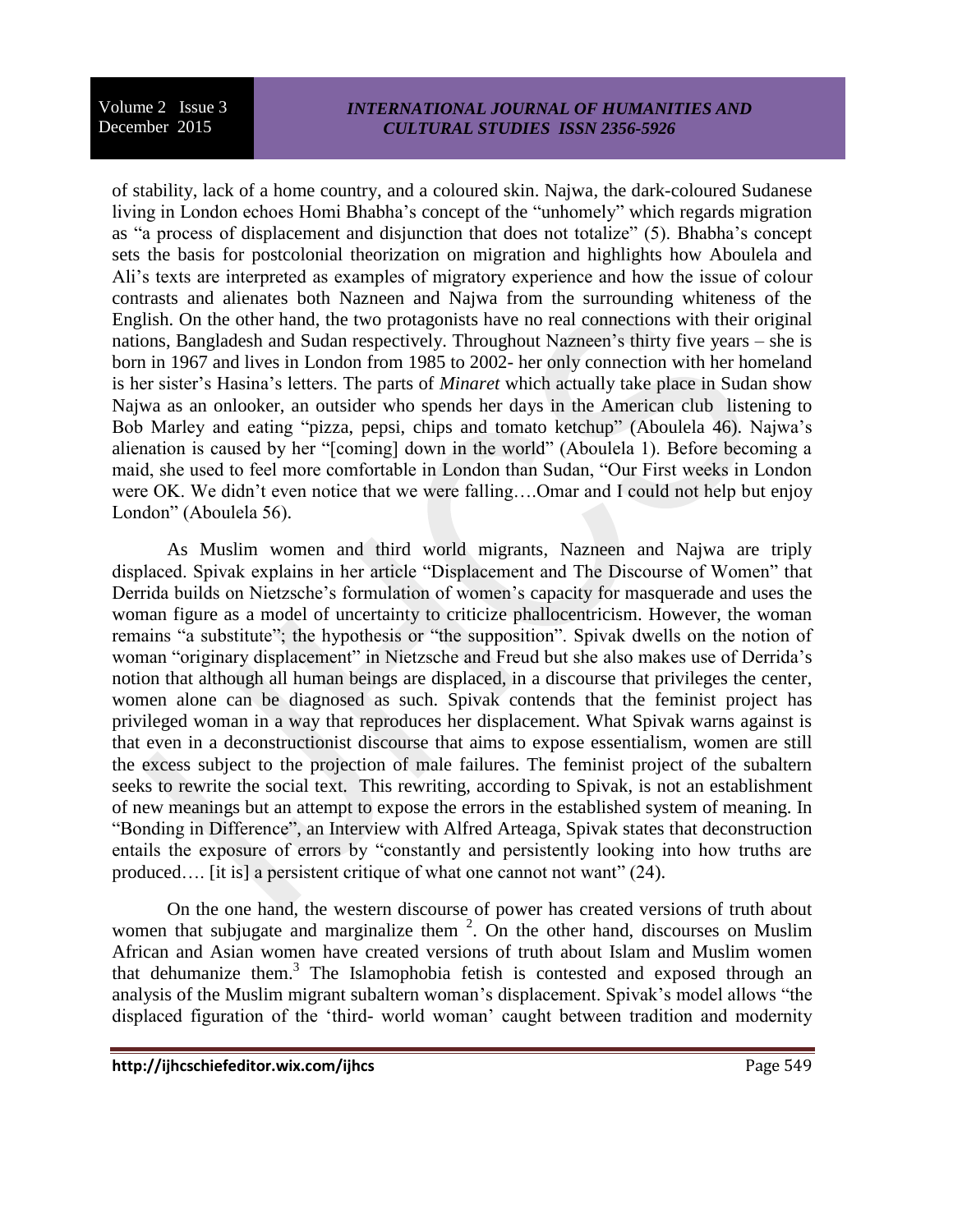## *INTERNATIONAL JOURNAL OF HUMANITIES AND CULTURAL STUDIES ISSN 2356-5926*

of stability, lack of a home country, and a coloured skin. Najwa, the dark-coloured Sudanese living in London echoes Homi Bhabha's concept of the "unhomely" which regards migration as "a process of displacement and disjunction that does not totalize" (5). Bhabha's concept sets the basis for postcolonial theorization on migration and highlights how Aboulela and Ali's texts are interpreted as examples of migratory experience and how the issue of colour contrasts and alienates both Nazneen and Najwa from the surrounding whiteness of the English. On the other hand, the two protagonists have no real connections with their original nations, Bangladesh and Sudan respectively. Throughout Nazneen's thirty five years – she is born in 1967 and lives in London from 1985 to 2002- her only connection with her homeland is her sister's Hasina's letters. The parts of *Minaret* which actually take place in Sudan show Najwa as an onlooker, an outsider who spends her days in the American club listening to Bob Marley and eating "pizza, pepsi, chips and tomato ketchup" (Aboulela 46). Najwa's alienation is caused by her "[coming] down in the world" (Aboulela 1). Before becoming a maid, she used to feel more comfortable in London than Sudan, "Our First weeks in London were OK. We didn't even notice that we were falling….Omar and I could not help but enjoy London" (Aboulela 56).

As Muslim women and third world migrants, Nazneen and Najwa are triply displaced. Spivak explains in her article "Displacement and The Discourse of Women" that Derrida builds on Nietzsche's formulation of women's capacity for masquerade and uses the woman figure as a model of uncertainty to criticize phallocentricism. However, the woman remains "a substitute"; the hypothesis or "the supposition". Spivak dwells on the notion of woman "originary displacement" in Nietzsche and Freud but she also makes use of Derrida's notion that although all human beings are displaced, in a discourse that privileges the center, women alone can be diagnosed as such. Spivak contends that the feminist project has privileged woman in a way that reproduces her displacement. What Spivak warns against is that even in a deconstructionist discourse that aims to expose essentialism, women are still the excess subject to the projection of male failures. The feminist project of the subaltern seeks to rewrite the social text. This rewriting, according to Spivak, is not an establishment of new meanings but an attempt to expose the errors in the established system of meaning. In "Bonding in Difference", an Interview with Alfred Arteaga, Spivak states that deconstruction entails the exposure of errors by "constantly and persistently looking into how truths are produced.... [it is] a persistent critique of what one cannot not want" (24).

On the one hand, the western discourse of power has created versions of truth about women that subjugate and marginalize them  $2$ . On the other hand, discourses on Muslim African and Asian women have created versions of truth about Islam and Muslim women that dehumanize them.<sup>3</sup> The Islamophobia fetish is contested and exposed through an analysis of the Muslim migrant subaltern woman's displacement. Spivak's model allows "the displaced figuration of the 'third- world woman' caught between tradition and modernity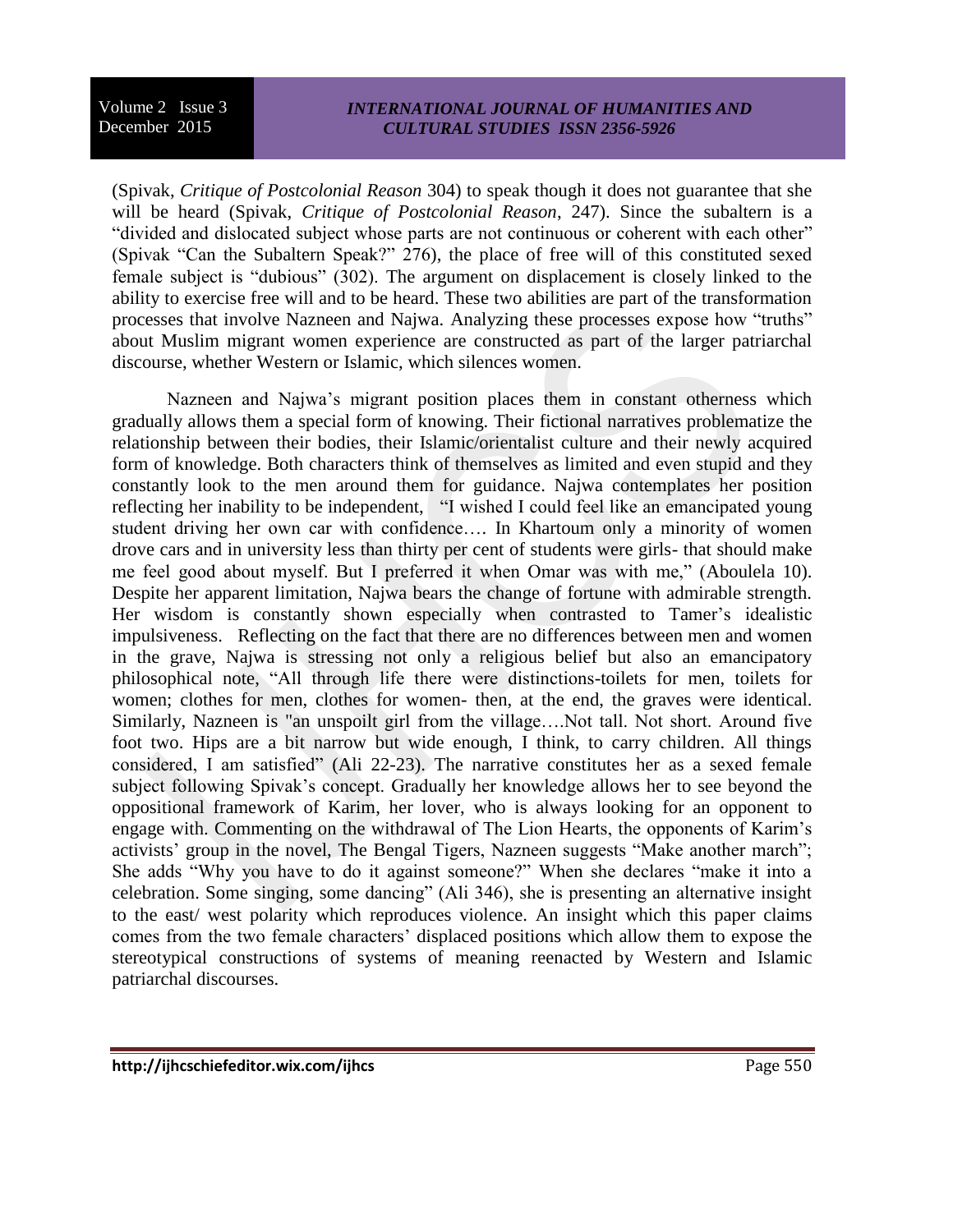## *INTERNATIONAL JOURNAL OF HUMANITIES AND CULTURAL STUDIES ISSN 2356-5926*

(Spivak, *Critique of Postcolonial Reason* 304) to speak though it does not guarantee that she will be heard (Spivak, *Critique of Postcolonial Reason*, 247). Since the subaltern is a "divided and dislocated subject whose parts are not continuous or coherent with each other" (Spivak "Can the Subaltern Speak?" 276), the place of free will of this constituted sexed female subject is "dubious" (302). The argument on displacement is closely linked to the ability to exercise free will and to be heard. These two abilities are part of the transformation processes that involve Nazneen and Najwa. Analyzing these processes expose how "truths" about Muslim migrant women experience are constructed as part of the larger patriarchal discourse, whether Western or Islamic, which silences women.

Nazneen and Najwa's migrant position places them in constant otherness which gradually allows them a special form of knowing. Their fictional narratives problematize the relationship between their bodies, their Islamic/orientalist culture and their newly acquired form of knowledge. Both characters think of themselves as limited and even stupid and they constantly look to the men around them for guidance. Najwa contemplates her position reflecting her inability to be independent, "I wished I could feel like an emancipated young student driving her own car with confidence…. In Khartoum only a minority of women drove cars and in university less than thirty per cent of students were girls- that should make me feel good about myself. But I preferred it when Omar was with me," (Aboulela 10). Despite her apparent limitation, Najwa bears the change of fortune with admirable strength. Her wisdom is constantly shown especially when contrasted to Tamer's idealistic impulsiveness. Reflecting on the fact that there are no differences between men and women in the grave, Najwa is stressing not only a religious belief but also an emancipatory philosophical note, "All through life there were distinctions-toilets for men, toilets for women; clothes for men, clothes for women- then, at the end, the graves were identical. Similarly, Nazneen is "an unspoilt girl from the village….Not tall. Not short. Around five foot two. Hips are a bit narrow but wide enough, I think, to carry children. All things considered, I am satisfied" (Ali 22-23). The narrative constitutes her as a sexed female subject following Spivak's concept. Gradually her knowledge allows her to see beyond the oppositional framework of Karim, her lover, who is always looking for an opponent to engage with. Commenting on the withdrawal of The Lion Hearts, the opponents of Karim's activists' group in the novel, The Bengal Tigers, Nazneen suggests "Make another march"; She adds "Why you have to do it against someone?" When she declares "make it into a celebration. Some singing, some dancing" (Ali 346), she is presenting an alternative insight to the east/ west polarity which reproduces violence. An insight which this paper claims comes from the two female characters' displaced positions which allow them to expose the stereotypical constructions of systems of meaning reenacted by Western and Islamic patriarchal discourses.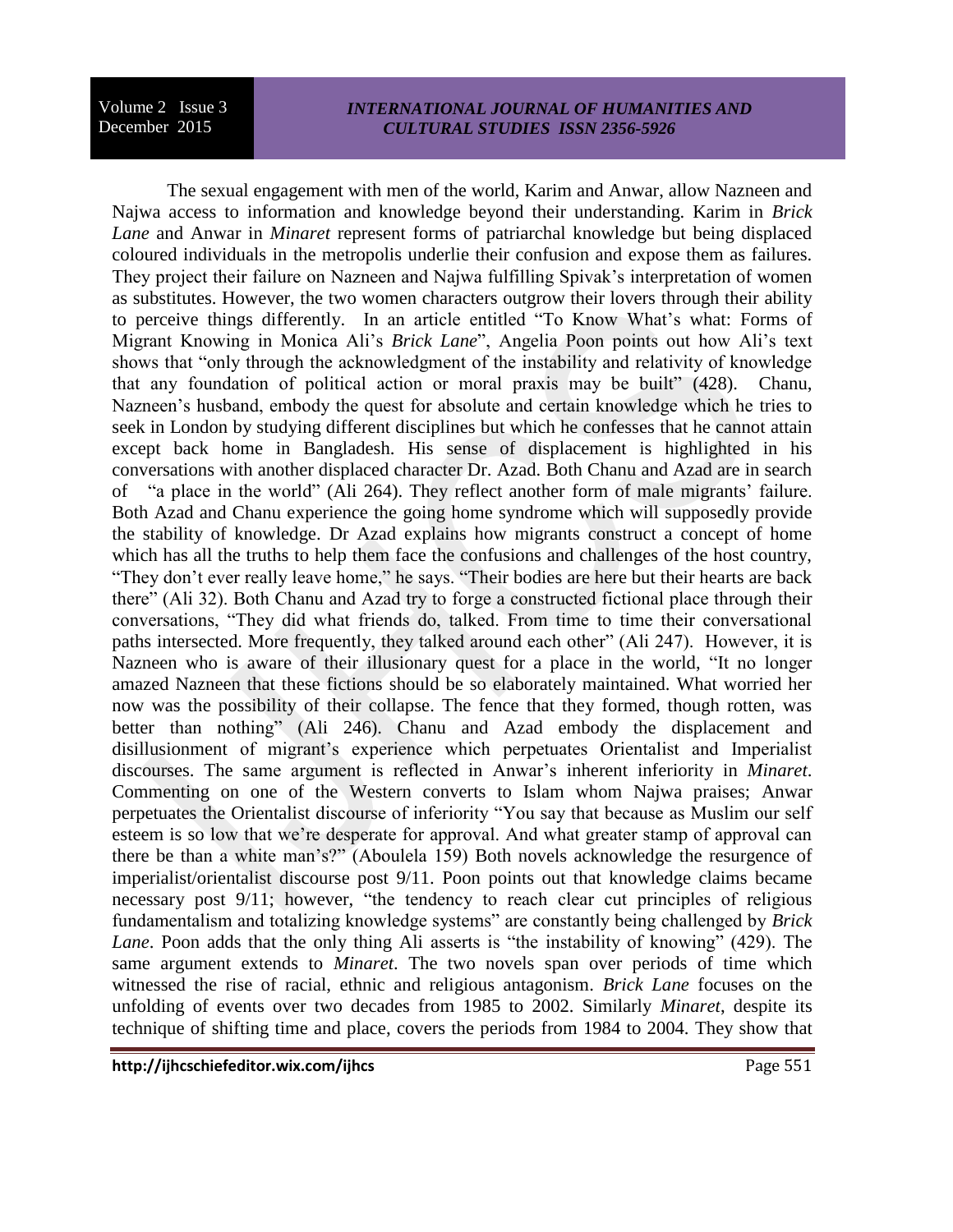## *INTERNATIONAL JOURNAL OF HUMANITIES AND CULTURAL STUDIES ISSN 2356-5926*

The sexual engagement with men of the world, Karim and Anwar, allow Nazneen and Najwa access to information and knowledge beyond their understanding. Karim in *Brick Lane* and Anwar in *Minaret* represent forms of patriarchal knowledge but being displaced coloured individuals in the metropolis underlie their confusion and expose them as failures. They project their failure on Nazneen and Najwa fulfilling Spivak's interpretation of women as substitutes. However, the two women characters outgrow their lovers through their ability to perceive things differently. In an article entitled "To Know What's what: Forms of Migrant Knowing in Monica Ali's *Brick Lane*", Angelia Poon points out how Ali's text shows that "only through the acknowledgment of the instability and relativity of knowledge that any foundation of political action or moral praxis may be built" (428). Chanu, Nazneen's husband, embody the quest for absolute and certain knowledge which he tries to seek in London by studying different disciplines but which he confesses that he cannot attain except back home in Bangladesh. His sense of displacement is highlighted in his conversations with another displaced character Dr. Azad. Both Chanu and Azad are in search of "a place in the world" (Ali 264). They reflect another form of male migrants' failure. Both Azad and Chanu experience the going home syndrome which will supposedly provide the stability of knowledge. Dr Azad explains how migrants construct a concept of home which has all the truths to help them face the confusions and challenges of the host country, "They don't ever really leave home," he says. "Their bodies are here but their hearts are back there" (Ali 32). Both Chanu and Azad try to forge a constructed fictional place through their conversations, "They did what friends do, talked. From time to time their conversational paths intersected. More frequently, they talked around each other" (Ali 247). However, it is Nazneen who is aware of their illusionary quest for a place in the world, "It no longer amazed Nazneen that these fictions should be so elaborately maintained. What worried her now was the possibility of their collapse. The fence that they formed, though rotten, was better than nothing" (Ali 246). Chanu and Azad embody the displacement and disillusionment of migrant's experience which perpetuates Orientalist and Imperialist discourses. The same argument is reflected in Anwar's inherent inferiority in *Minaret*. Commenting on one of the Western converts to Islam whom Najwa praises; Anwar perpetuates the Orientalist discourse of inferiority "You say that because as Muslim our self esteem is so low that we're desperate for approval. And what greater stamp of approval can there be than a white man's?" (Aboulela 159) Both novels acknowledge the resurgence of imperialist/orientalist discourse post 9/11. Poon points out that knowledge claims became necessary post 9/11; however, "the tendency to reach clear cut principles of religious fundamentalism and totalizing knowledge systems" are constantly being challenged by *Brick Lane*. Poon adds that the only thing Ali asserts is "the instability of knowing" (429). The same argument extends to *Minaret*. The two novels span over periods of time which witnessed the rise of racial, ethnic and religious antagonism. *Brick Lane* focuses on the unfolding of events over two decades from 1985 to 2002. Similarly *Minaret*, despite its technique of shifting time and place, covers the periods from 1984 to 2004. They show that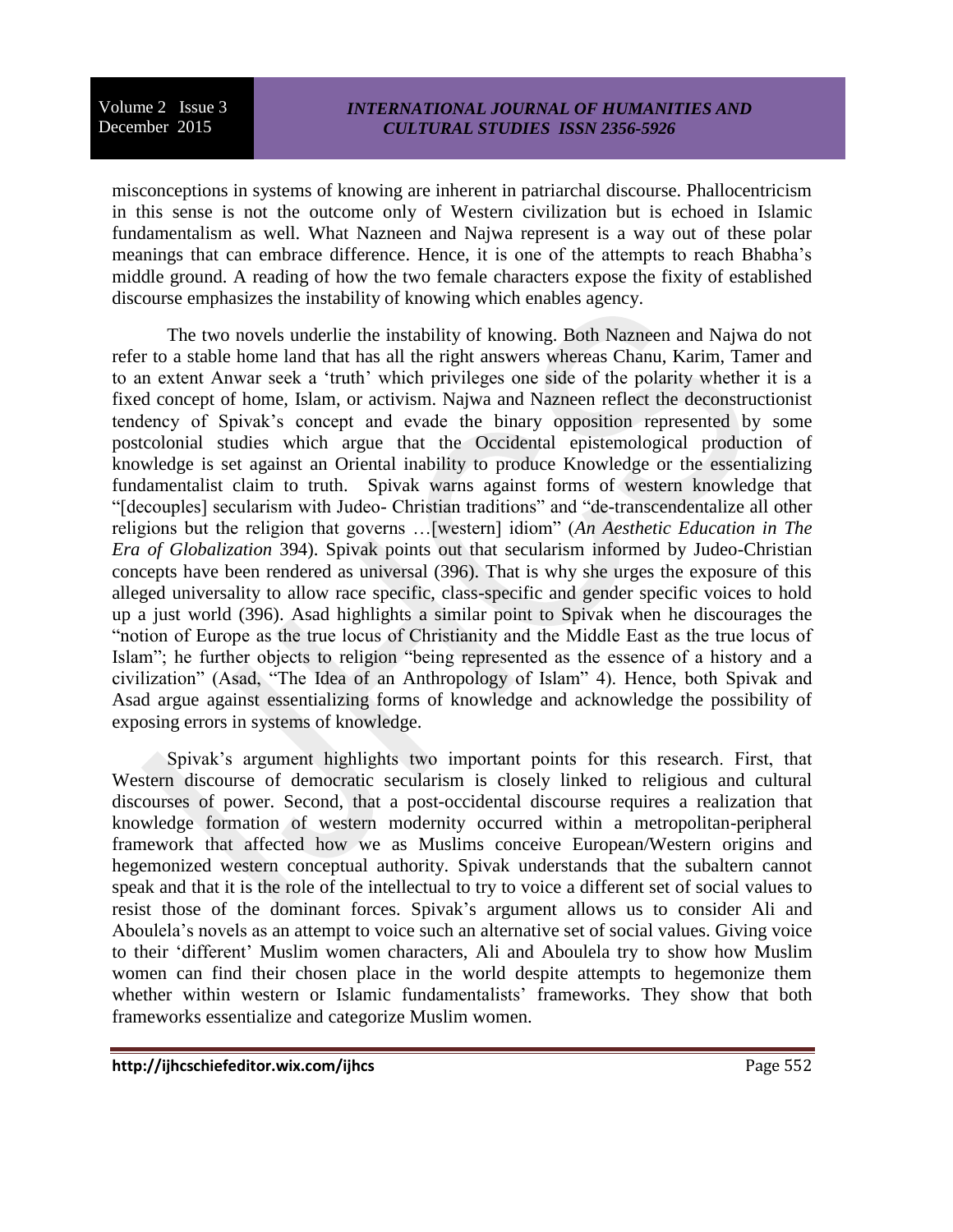misconceptions in systems of knowing are inherent in patriarchal discourse. Phallocentricism in this sense is not the outcome only of Western civilization but is echoed in Islamic fundamentalism as well. What Nazneen and Najwa represent is a way out of these polar meanings that can embrace difference. Hence, it is one of the attempts to reach Bhabha's middle ground. A reading of how the two female characters expose the fixity of established discourse emphasizes the instability of knowing which enables agency.

The two novels underlie the instability of knowing. Both Nazneen and Najwa do not refer to a stable home land that has all the right answers whereas Chanu, Karim, Tamer and to an extent Anwar seek a 'truth' which privileges one side of the polarity whether it is a fixed concept of home, Islam, or activism. Najwa and Nazneen reflect the deconstructionist tendency of Spivak's concept and evade the binary opposition represented by some postcolonial studies which argue that the Occidental epistemological production of knowledge is set against an Oriental inability to produce Knowledge or the essentializing fundamentalist claim to truth. Spivak warns against forms of western knowledge that "[decouples] secularism with Judeo- Christian traditions" and "de-transcendentalize all other religions but the religion that governs …[western] idiom" (*An Aesthetic Education in The Era of Globalization* 394). Spivak points out that secularism informed by Judeo-Christian concepts have been rendered as universal (396). That is why she urges the exposure of this alleged universality to allow race specific, class-specific and gender specific voices to hold up a just world (396). Asad highlights a similar point to Spivak when he discourages the "notion of Europe as the true locus of Christianity and the Middle East as the true locus of Islam"; he further objects to religion "being represented as the essence of a history and a civilization" (Asad, "The Idea of an Anthropology of Islam" 4). Hence, both Spivak and Asad argue against essentializing forms of knowledge and acknowledge the possibility of exposing errors in systems of knowledge.

Spivak's argument highlights two important points for this research. First, that Western discourse of democratic secularism is closely linked to religious and cultural discourses of power. Second, that a post-occidental discourse requires a realization that knowledge formation of western modernity occurred within a metropolitan-peripheral framework that affected how we as Muslims conceive European/Western origins and hegemonized western conceptual authority. Spivak understands that the subaltern cannot speak and that it is the role of the intellectual to try to voice a different set of social values to resist those of the dominant forces. Spivak's argument allows us to consider Ali and Aboulela's novels as an attempt to voice such an alternative set of social values. Giving voice to their 'different' Muslim women characters, Ali and Aboulela try to show how Muslim women can find their chosen place in the world despite attempts to hegemonize them whether within western or Islamic fundamentalists' frameworks. They show that both frameworks essentialize and categorize Muslim women.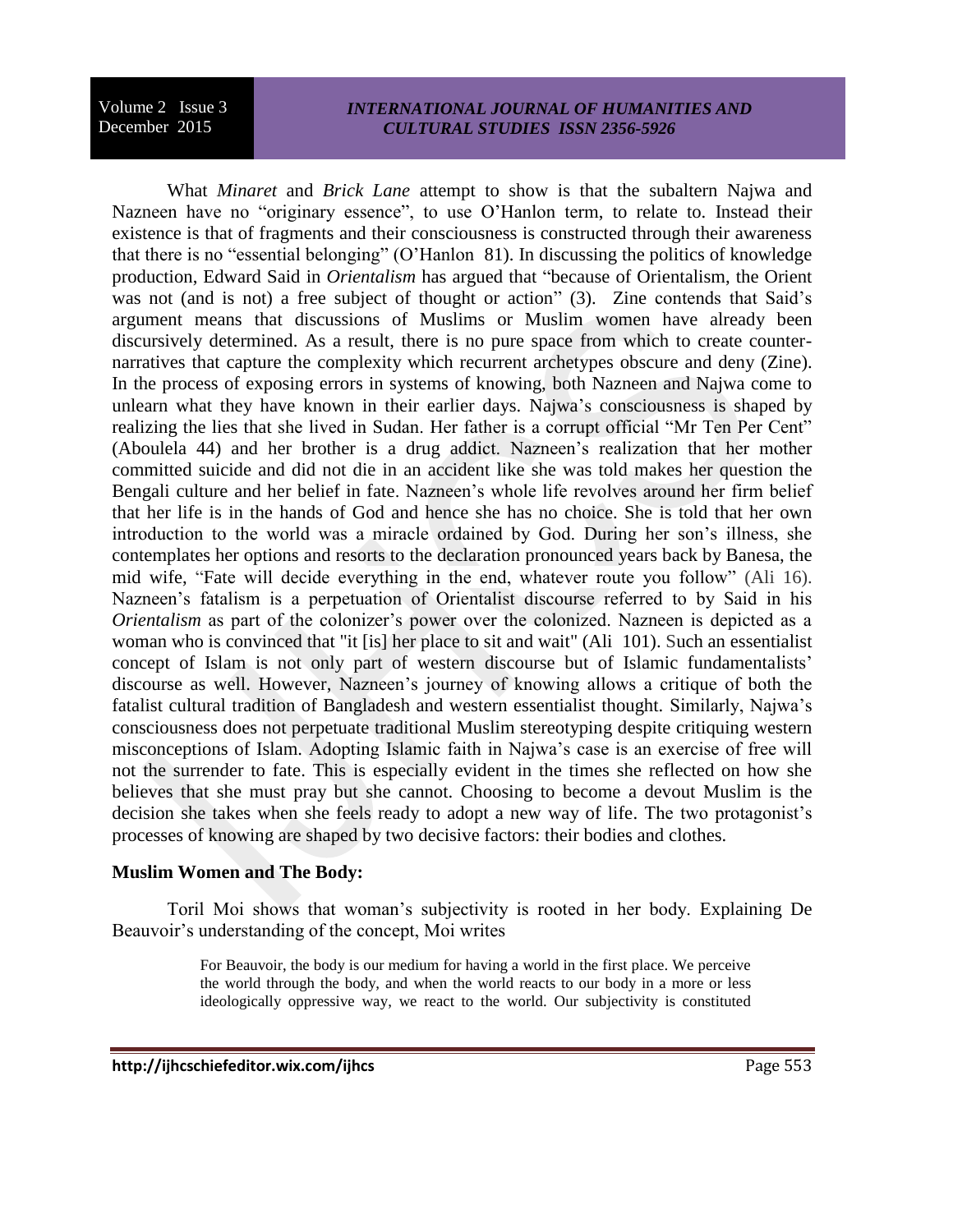## *INTERNATIONAL JOURNAL OF HUMANITIES AND CULTURAL STUDIES ISSN 2356-5926*

What *Minaret* and *Brick Lane* attempt to show is that the subaltern Najwa and Nazneen have no "originary essence", to use O'Hanlon term, to relate to. Instead their existence is that of fragments and their consciousness is constructed through their awareness that there is no "essential belonging" (O'Hanlon 81). In discussing the politics of knowledge production, Edward Said in *Orientalism* has argued that "because of Orientalism, the Orient was not (and is not) a free subject of thought or action" (3). Zine contends that Said's argument means that discussions of Muslims or Muslim women have already been discursively determined. As a result, there is no pure space from which to create counternarratives that capture the complexity which recurrent archetypes obscure and deny (Zine). In the process of exposing errors in systems of knowing, both Nazneen and Najwa come to unlearn what they have known in their earlier days. Najwa's consciousness is shaped by realizing the lies that she lived in Sudan. Her father is a corrupt official "Mr Ten Per Cent" (Aboulela 44) and her brother is a drug addict. Nazneen's realization that her mother committed suicide and did not die in an accident like she was told makes her question the Bengali culture and her belief in fate. Nazneen's whole life revolves around her firm belief that her life is in the hands of God and hence she has no choice. She is told that her own introduction to the world was a miracle ordained by God. During her son's illness, she contemplates her options and resorts to the declaration pronounced years back by Banesa, the mid wife, "Fate will decide everything in the end, whatever route you follow" (Ali 16). Nazneen's fatalism is a perpetuation of Orientalist discourse referred to by Said in his *Orientalism* as part of the colonizer's power over the colonized. Nazneen is depicted as a woman who is convinced that "it [is] her place to sit and wait" (Ali 101). Such an essentialist concept of Islam is not only part of western discourse but of Islamic fundamentalists' discourse as well. However, Nazneen's journey of knowing allows a critique of both the fatalist cultural tradition of Bangladesh and western essentialist thought. Similarly, Najwa's consciousness does not perpetuate traditional Muslim stereotyping despite critiquing western misconceptions of Islam. Adopting Islamic faith in Najwa's case is an exercise of free will not the surrender to fate. This is especially evident in the times she reflected on how she believes that she must pray but she cannot. Choosing to become a devout Muslim is the decision she takes when she feels ready to adopt a new way of life. The two protagonist's processes of knowing are shaped by two decisive factors: their bodies and clothes.

## **Muslim Women and The Body:**

Toril Moi shows that woman's subjectivity is rooted in her body. Explaining De Beauvoir's understanding of the concept, Moi writes

> For Beauvoir, the body is our medium for having a world in the first place. We perceive the world through the body, and when the world reacts to our body in a more or less ideologically oppressive way, we react to the world. Our subjectivity is constituted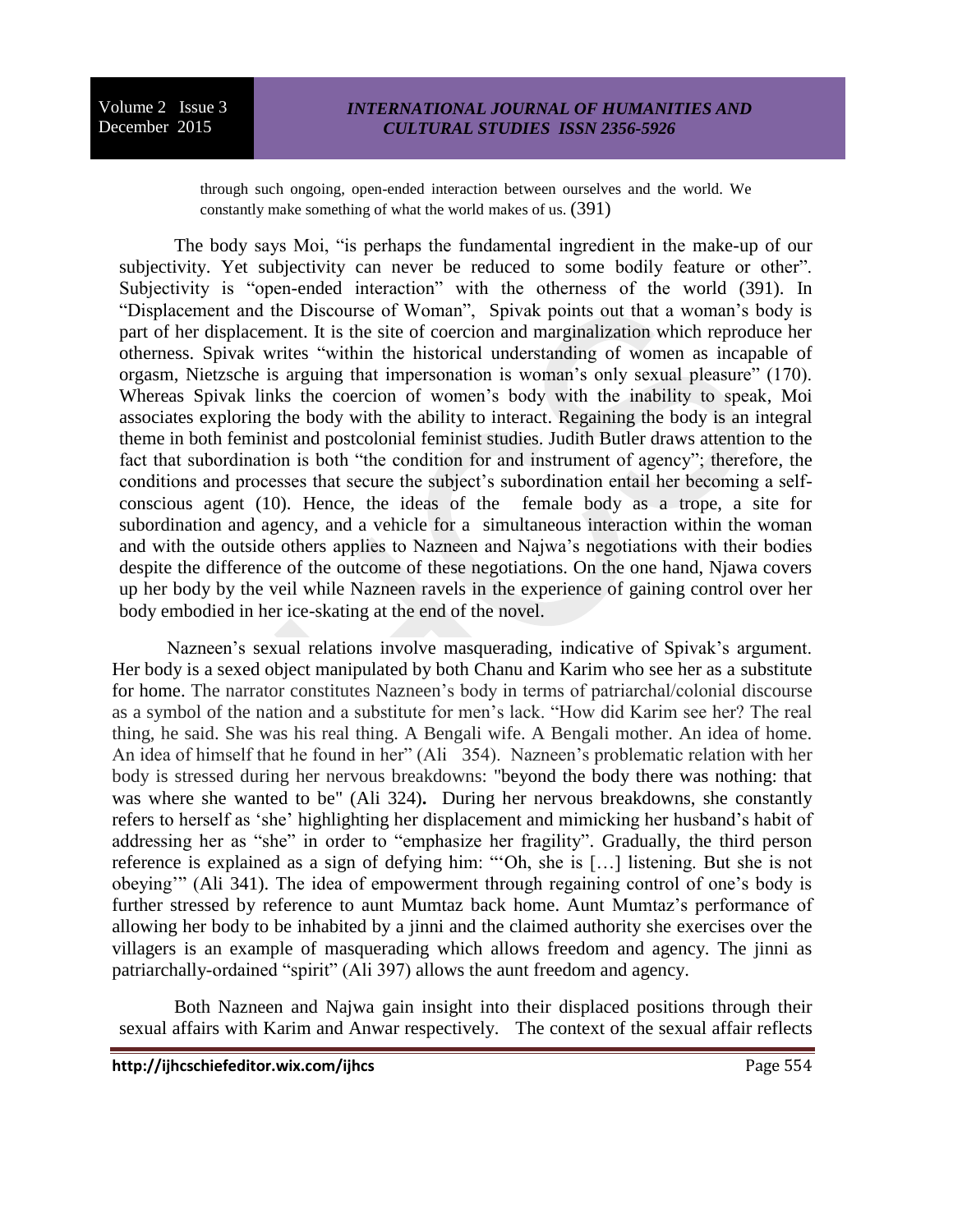through such ongoing, open-ended interaction between ourselves and the world. We constantly make something of what the world makes of us. (391)

The body says Moi, "is perhaps the fundamental ingredient in the make-up of our subjectivity. Yet subjectivity can never be reduced to some bodily feature or other". Subjectivity is "open-ended interaction" with the otherness of the world (391). In "Displacement and the Discourse of Woman", Spivak points out that a woman's body is part of her displacement. It is the site of coercion and marginalization which reproduce her otherness. Spivak writes "within the historical understanding of women as incapable of orgasm, Nietzsche is arguing that impersonation is woman's only sexual pleasure" (170). Whereas Spivak links the coercion of women's body with the inability to speak, Moi associates exploring the body with the ability to interact. Regaining the body is an integral theme in both feminist and postcolonial feminist studies. Judith Butler draws attention to the fact that subordination is both "the condition for and instrument of agency"; therefore, the conditions and processes that secure the subject's subordination entail her becoming a selfconscious agent (10). Hence, the ideas of the female body as a trope, a site for subordination and agency, and a vehicle for a simultaneous interaction within the woman and with the outside others applies to Nazneen and Najwa's negotiations with their bodies despite the difference of the outcome of these negotiations. On the one hand, Njawa covers up her body by the veil while Nazneen ravels in the experience of gaining control over her body embodied in her ice-skating at the end of the novel.

Nazneen's sexual relations involve masquerading, indicative of Spivak's argument. Her body is a sexed object manipulated by both Chanu and Karim who see her as a substitute for home. The narrator constitutes Nazneen's body in terms of patriarchal/colonial discourse as a symbol of the nation and a substitute for men's lack. "How did Karim see her? The real thing, he said. She was his real thing. A Bengali wife. A Bengali mother. An idea of home. An idea of himself that he found in her" (Ali 354). Nazneen's problematic relation with her body is stressed during her nervous breakdowns: "beyond the body there was nothing: that was where she wanted to be" (Ali 324)**.** During her nervous breakdowns, she constantly refers to herself as 'she' highlighting her displacement and mimicking her husband's habit of addressing her as "she" in order to "emphasize her fragility". Gradually, the third person reference is explained as a sign of defying him: "'Oh, she is […] listening. But she is not obeying'" (Ali 341). The idea of empowerment through regaining control of one's body is further stressed by reference to aunt Mumtaz back home. Aunt Mumtaz's performance of allowing her body to be inhabited by a jinni and the claimed authority she exercises over the villagers is an example of masquerading which allows freedom and agency. The jinni as patriarchally-ordained "spirit" (Ali 397) allows the aunt freedom and agency.

Both Nazneen and Najwa gain insight into their displaced positions through their sexual affairs with Karim and Anwar respectively. The context of the sexual affair reflects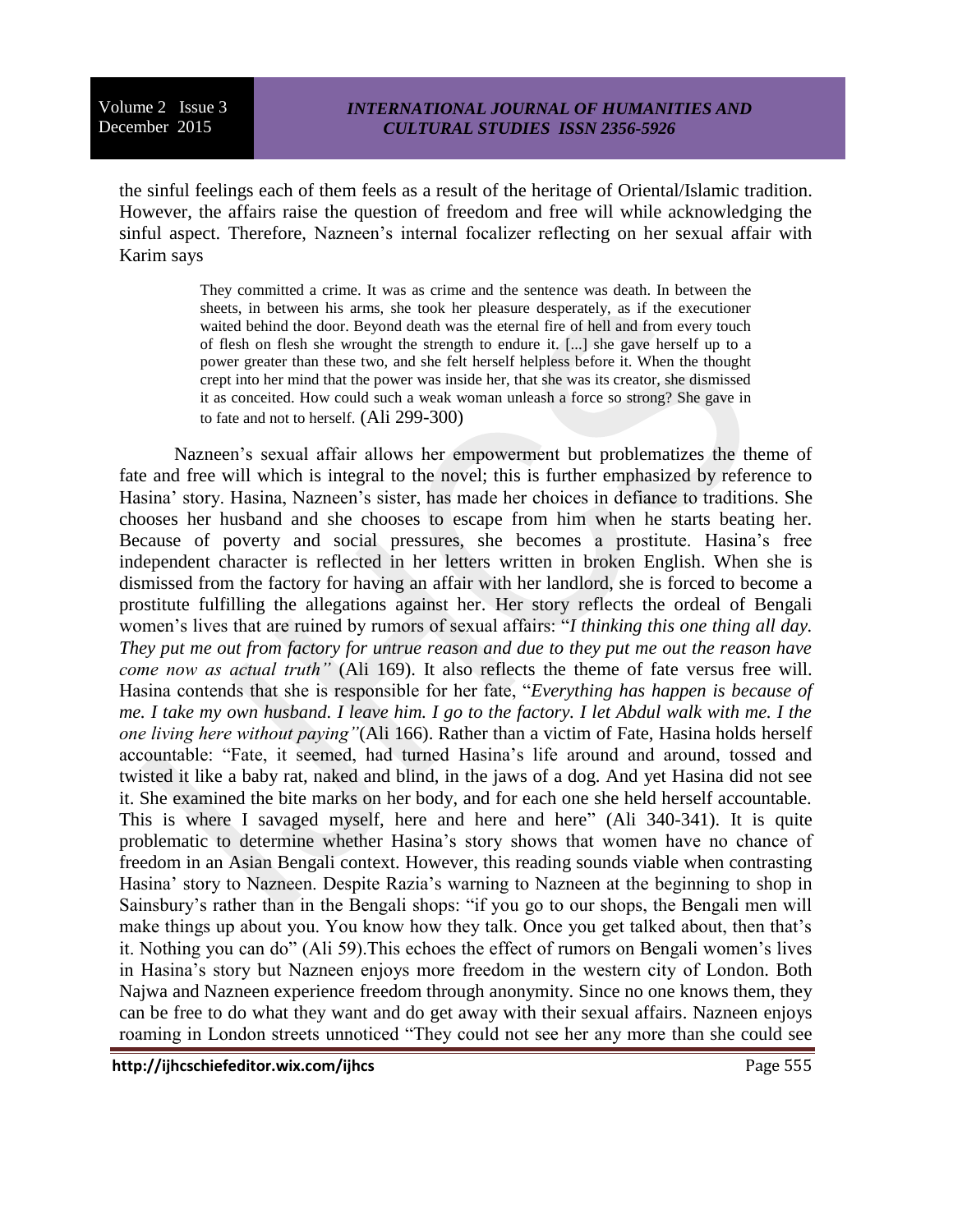the sinful feelings each of them feels as a result of the heritage of Oriental/Islamic tradition. However, the affairs raise the question of freedom and free will while acknowledging the sinful aspect. Therefore, Nazneen's internal focalizer reflecting on her sexual affair with Karim says

> They committed a crime. It was as crime and the sentence was death. In between the sheets, in between his arms, she took her pleasure desperately, as if the executioner waited behind the door. Beyond death was the eternal fire of hell and from every touch of flesh on flesh she wrought the strength to endure it. [...] she gave herself up to a power greater than these two, and she felt herself helpless before it. When the thought crept into her mind that the power was inside her, that she was its creator, she dismissed it as conceited. How could such a weak woman unleash a force so strong? She gave in to fate and not to herself. (Ali 299-300)

Nazneen's sexual affair allows her empowerment but problematizes the theme of fate and free will which is integral to the novel; this is further emphasized by reference to Hasina' story. Hasina, Nazneen's sister, has made her choices in defiance to traditions. She chooses her husband and she chooses to escape from him when he starts beating her. Because of poverty and social pressures, she becomes a prostitute. Hasina's free independent character is reflected in her letters written in broken English. When she is dismissed from the factory for having an affair with her landlord, she is forced to become a prostitute fulfilling the allegations against her. Her story reflects the ordeal of Bengali women's lives that are ruined by rumors of sexual affairs: "*I thinking this one thing all day. They put me out from factory for untrue reason and due to they put me out the reason have come now as actual truth"* (Ali 169). It also reflects the theme of fate versus free will. Hasina contends that she is responsible for her fate, "*Everything has happen is because of me. I take my own husband. I leave him. I go to the factory. I let Abdul walk with me. I the one living here without paying"*(Ali 166). Rather than a victim of Fate, Hasina holds herself accountable: "Fate, it seemed, had turned Hasina's life around and around, tossed and twisted it like a baby rat, naked and blind, in the jaws of a dog. And yet Hasina did not see it. She examined the bite marks on her body, and for each one she held herself accountable. This is where I savaged myself, here and here and here" (Ali 340-341). It is quite problematic to determine whether Hasina's story shows that women have no chance of freedom in an Asian Bengali context. However, this reading sounds viable when contrasting Hasina' story to Nazneen. Despite Razia's warning to Nazneen at the beginning to shop in Sainsbury's rather than in the Bengali shops: "if you go to our shops, the Bengali men will make things up about you. You know how they talk. Once you get talked about, then that's it. Nothing you can do" (Ali 59).This echoes the effect of rumors on Bengali women's lives in Hasina's story but Nazneen enjoys more freedom in the western city of London. Both Najwa and Nazneen experience freedom through anonymity. Since no one knows them, they can be free to do what they want and do get away with their sexual affairs. Nazneen enjoys roaming in London streets unnoticed "They could not see her any more than she could see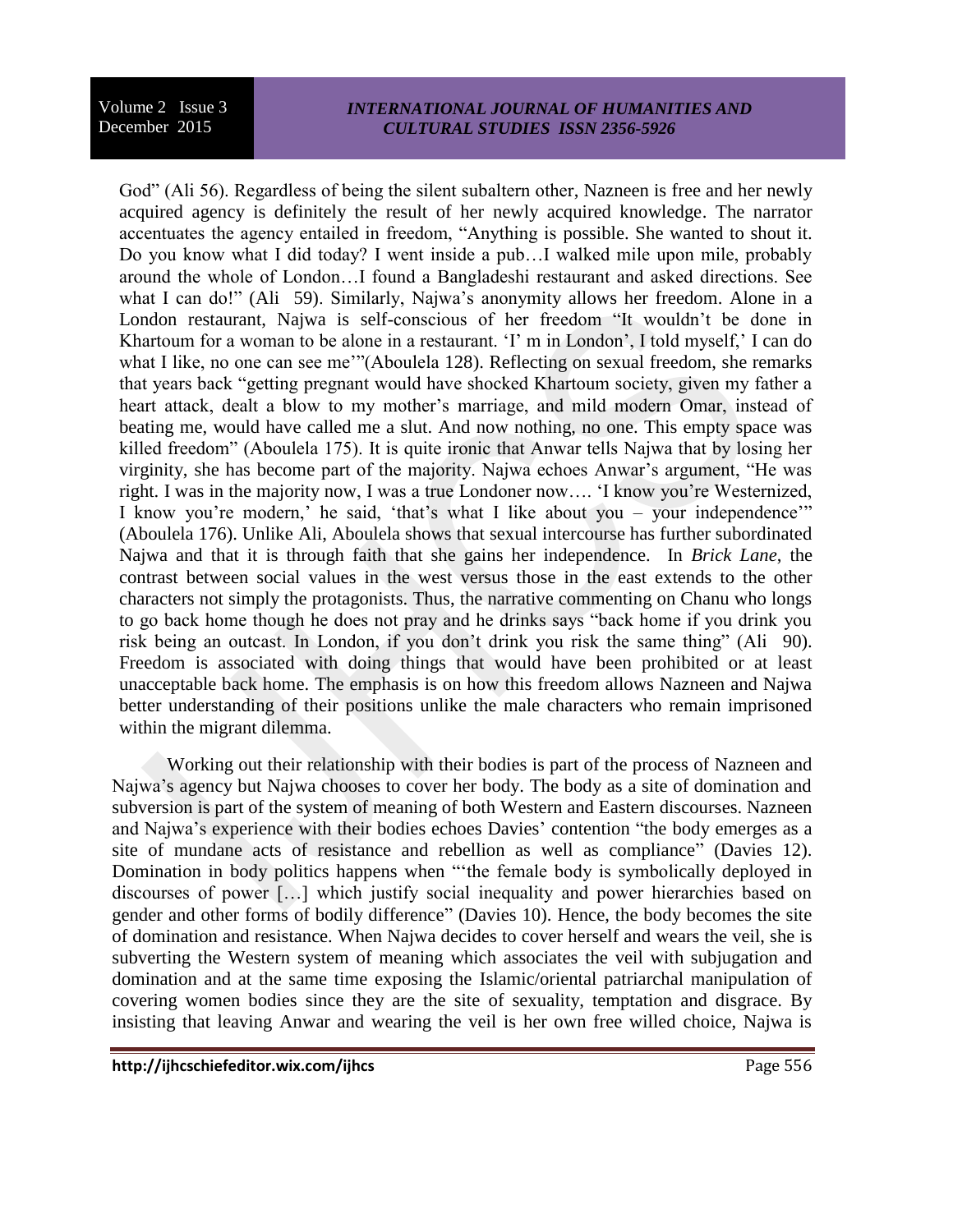## *INTERNATIONAL JOURNAL OF HUMANITIES AND CULTURAL STUDIES ISSN 2356-5926*

God" (Ali 56). Regardless of being the silent subaltern other, Nazneen is free and her newly acquired agency is definitely the result of her newly acquired knowledge. The narrator accentuates the agency entailed in freedom, "Anything is possible. She wanted to shout it. Do you know what I did today? I went inside a pub…I walked mile upon mile, probably around the whole of London…I found a Bangladeshi restaurant and asked directions. See what I can do!" (Ali 59). Similarly, Najwa's anonymity allows her freedom. Alone in a London restaurant, Najwa is self-conscious of her freedom "It wouldn't be done in Khartoum for a woman to be alone in a restaurant. 'I' m in London', I told myself,' I can do what I like, no one can see me'"(Aboulela 128). Reflecting on sexual freedom, she remarks that years back "getting pregnant would have shocked Khartoum society, given my father a heart attack, dealt a blow to my mother's marriage, and mild modern Omar, instead of beating me, would have called me a slut. And now nothing, no one. This empty space was killed freedom" (Aboulela 175). It is quite ironic that Anwar tells Najwa that by losing her virginity, she has become part of the majority. Najwa echoes Anwar's argument, "He was right. I was in the majority now, I was a true Londoner now…. 'I know you're Westernized, I know you're modern,' he said, 'that's what I like about you – your independence'" (Aboulela 176). Unlike Ali, Aboulela shows that sexual intercourse has further subordinated Najwa and that it is through faith that she gains her independence. In *Brick Lane*, the contrast between social values in the west versus those in the east extends to the other characters not simply the protagonists. Thus, the narrative commenting on Chanu who longs to go back home though he does not pray and he drinks says "back home if you drink you risk being an outcast. In London, if you don't drink you risk the same thing" (Ali 90). Freedom is associated with doing things that would have been prohibited or at least unacceptable back home. The emphasis is on how this freedom allows Nazneen and Najwa better understanding of their positions unlike the male characters who remain imprisoned within the migrant dilemma.

Working out their relationship with their bodies is part of the process of Nazneen and Najwa's agency but Najwa chooses to cover her body. The body as a site of domination and subversion is part of the system of meaning of both Western and Eastern discourses. Nazneen and Najwa's experience with their bodies echoes Davies' contention "the body emerges as a site of mundane acts of resistance and rebellion as well as compliance" (Davies 12). Domination in body politics happens when "'the female body is symbolically deployed in discourses of power […] which justify social inequality and power hierarchies based on gender and other forms of bodily difference" (Davies 10). Hence, the body becomes the site of domination and resistance. When Najwa decides to cover herself and wears the veil, she is subverting the Western system of meaning which associates the veil with subjugation and domination and at the same time exposing the Islamic/oriental patriarchal manipulation of covering women bodies since they are the site of sexuality, temptation and disgrace. By insisting that leaving Anwar and wearing the veil is her own free willed choice, Najwa is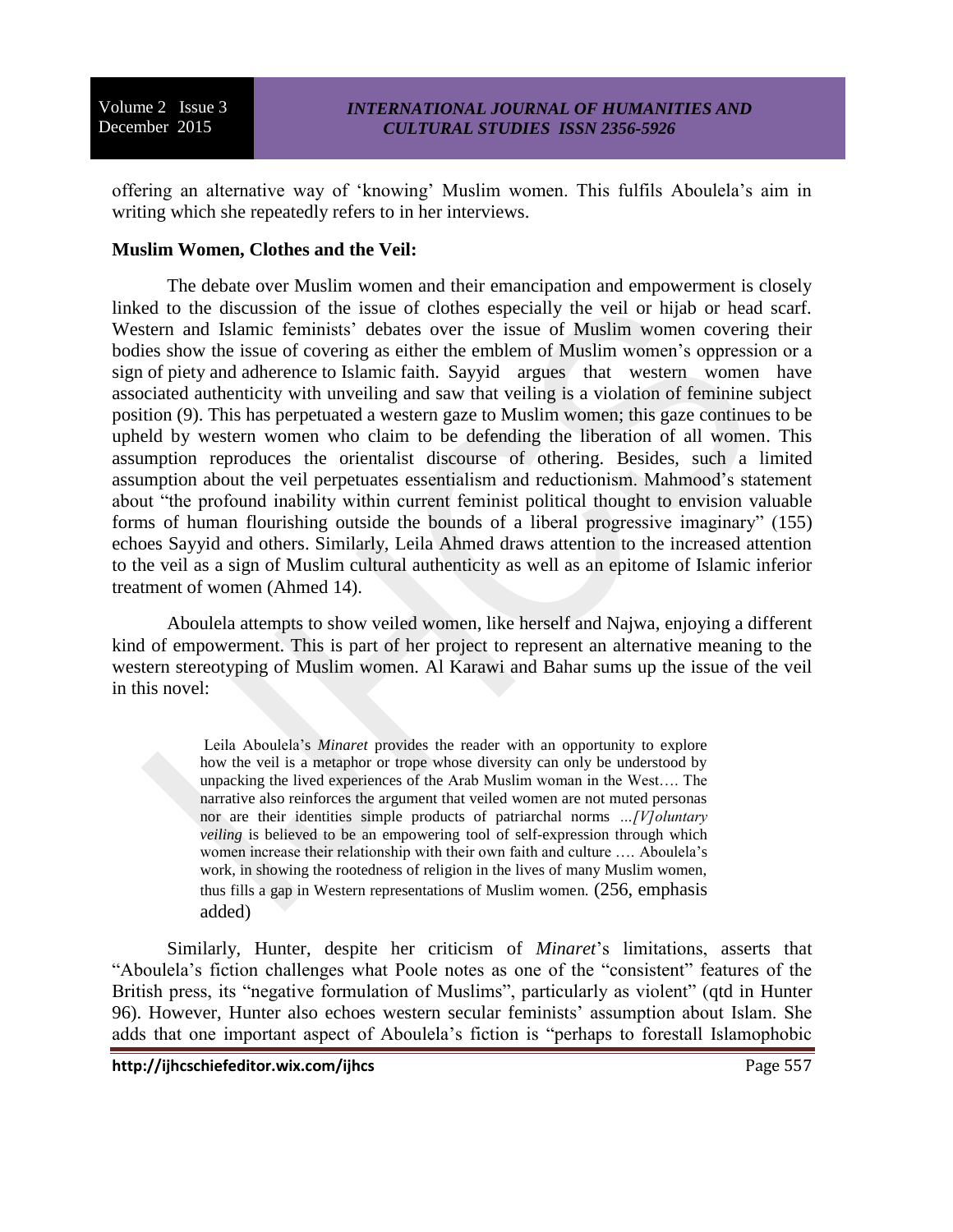offering an alternative way of 'knowing' Muslim women. This fulfils Aboulela's aim in writing which she repeatedly refers to in her interviews.

## **Muslim Women, Clothes and the Veil:**

The debate over Muslim women and their emancipation and empowerment is closely linked to the discussion of the issue of clothes especially the veil or hijab or head scarf. Western and Islamic feminists' debates over the issue of Muslim women covering their bodies show the issue of covering as either the emblem of Muslim women's oppression or a sign of piety and adherence to Islamic faith. Sayyid argues that western women have associated authenticity with unveiling and saw that veiling is a violation of feminine subject position (9). This has perpetuated a western gaze to Muslim women; this gaze continues to be upheld by western women who claim to be defending the liberation of all women. This assumption reproduces the orientalist discourse of othering. Besides, such a limited assumption about the veil perpetuates essentialism and reductionism. Mahmood's statement about "the profound inability within current feminist political thought to envision valuable forms of human flourishing outside the bounds of a liberal progressive imaginary" (155) echoes Sayyid and others. Similarly, Leila Ahmed draws attention to the increased attention to the veil as a sign of Muslim cultural authenticity as well as an epitome of Islamic inferior treatment of women (Ahmed 14).

Aboulela attempts to show veiled women, like herself and Najwa, enjoying a different kind of empowerment. This is part of her project to represent an alternative meaning to the western stereotyping of Muslim women. Al Karawi and Bahar sums up the issue of the veil in this novel:

> Leila Aboulela's *Minaret* provides the reader with an opportunity to explore how the veil is a metaphor or trope whose diversity can only be understood by unpacking the lived experiences of the Arab Muslim woman in the West…. The narrative also reinforces the argument that veiled women are not muted personas nor are their identities simple products of patriarchal norms *…[V]oluntary veiling* is believed to be an empowering tool of self-expression through which women increase their relationship with their own faith and culture …. Aboulela's work, in showing the rootedness of religion in the lives of many Muslim women, thus fills a gap in Western representations of Muslim women. (256, emphasis added)

Similarly, Hunter, despite her criticism of *Minaret*'s limitations, asserts that "Aboulela's fiction challenges what Poole notes as one of the "consistent" features of the British press, its "negative formulation of Muslims", particularly as violent" (qtd in Hunter 96). However, Hunter also echoes western secular feminists' assumption about Islam. She adds that one important aspect of Aboulela's fiction is "perhaps to forestall Islamophobic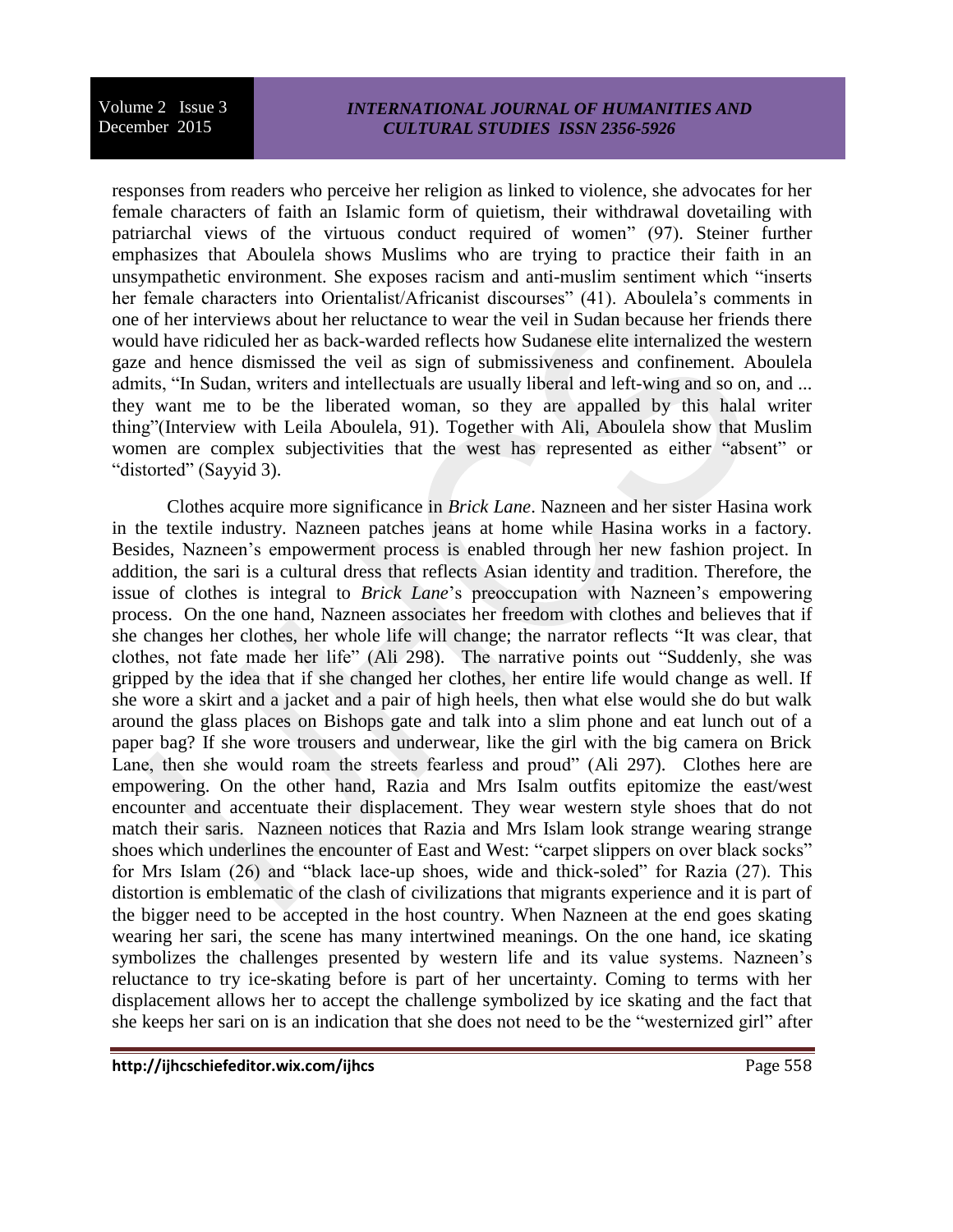## *INTERNATIONAL JOURNAL OF HUMANITIES AND CULTURAL STUDIES ISSN 2356-5926*

responses from readers who perceive her religion as linked to violence, she advocates for her female characters of faith an Islamic form of quietism, their withdrawal dovetailing with patriarchal views of the virtuous conduct required of women" (97). Steiner further emphasizes that Aboulela shows Muslims who are trying to practice their faith in an unsympathetic environment. She exposes racism and anti-muslim sentiment which "inserts her female characters into Orientalist/Africanist discourses" (41). Aboulela's comments in one of her interviews about her reluctance to wear the veil in Sudan because her friends there would have ridiculed her as back-warded reflects how Sudanese elite internalized the western gaze and hence dismissed the veil as sign of submissiveness and confinement. Aboulela admits, "In Sudan, writers and intellectuals are usually liberal and left-wing and so on, and ... they want me to be the liberated woman, so they are appalled by this halal writer thing"(Interview with Leila Aboulela, 91). Together with Ali, Aboulela show that Muslim women are complex subjectivities that the west has represented as either "absent" or "distorted" (Sayyid 3).

Clothes acquire more significance in *Brick Lane*. Nazneen and her sister Hasina work in the textile industry. Nazneen patches jeans at home while Hasina works in a factory. Besides, Nazneen's empowerment process is enabled through her new fashion project. In addition, the sari is a cultural dress that reflects Asian identity and tradition. Therefore, the issue of clothes is integral to *Brick Lane*'s preoccupation with Nazneen's empowering process. On the one hand, Nazneen associates her freedom with clothes and believes that if she changes her clothes, her whole life will change; the narrator reflects "It was clear, that clothes, not fate made her life" (Ali 298). The narrative points out "Suddenly, she was gripped by the idea that if she changed her clothes, her entire life would change as well. If she wore a skirt and a jacket and a pair of high heels, then what else would she do but walk around the glass places on Bishops gate and talk into a slim phone and eat lunch out of a paper bag? If she wore trousers and underwear, like the girl with the big camera on Brick Lane, then she would roam the streets fearless and proud" (Ali 297). Clothes here are empowering. On the other hand, Razia and Mrs Isalm outfits epitomize the east/west encounter and accentuate their displacement. They wear western style shoes that do not match their saris. Nazneen notices that Razia and Mrs Islam look strange wearing strange shoes which underlines the encounter of East and West: "carpet slippers on over black socks" for Mrs Islam (26) and "black lace-up shoes, wide and thick-soled" for Razia (27). This distortion is emblematic of the clash of civilizations that migrants experience and it is part of the bigger need to be accepted in the host country. When Nazneen at the end goes skating wearing her sari, the scene has many intertwined meanings. On the one hand, ice skating symbolizes the challenges presented by western life and its value systems. Nazneen's reluctance to try ice-skating before is part of her uncertainty. Coming to terms with her displacement allows her to accept the challenge symbolized by ice skating and the fact that she keeps her sari on is an indication that she does not need to be the "westernized girl" after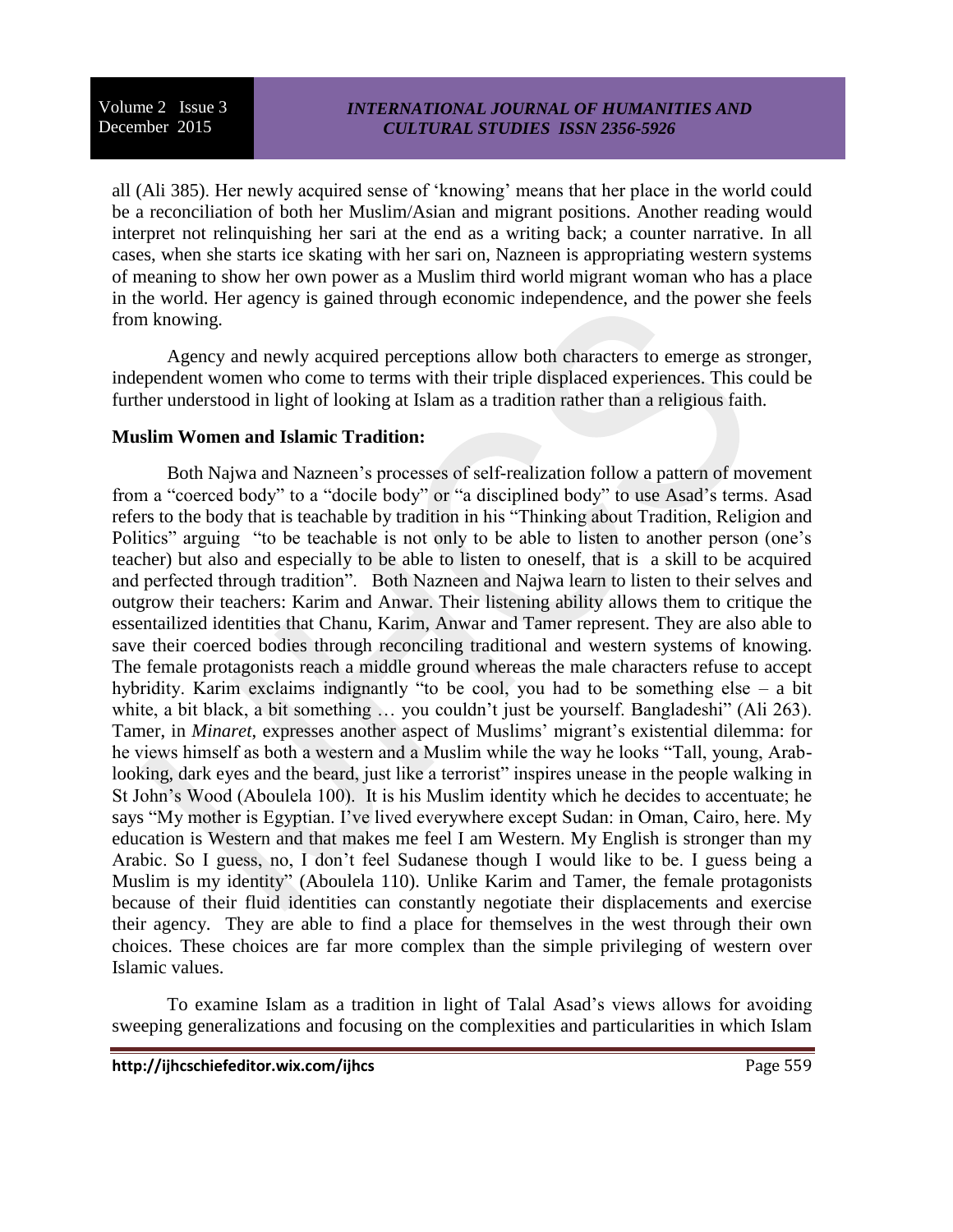## *INTERNATIONAL JOURNAL OF HUMANITIES AND CULTURAL STUDIES ISSN 2356-5926*

all (Ali 385). Her newly acquired sense of 'knowing' means that her place in the world could be a reconciliation of both her Muslim/Asian and migrant positions. Another reading would interpret not relinquishing her sari at the end as a writing back; a counter narrative. In all cases, when she starts ice skating with her sari on, Nazneen is appropriating western systems of meaning to show her own power as a Muslim third world migrant woman who has a place in the world. Her agency is gained through economic independence, and the power she feels from knowing.

Agency and newly acquired perceptions allow both characters to emerge as stronger, independent women who come to terms with their triple displaced experiences. This could be further understood in light of looking at Islam as a tradition rather than a religious faith.

#### **Muslim Women and Islamic Tradition:**

Both Najwa and Nazneen's processes of self-realization follow a pattern of movement from a "coerced body" to a "docile body" or "a disciplined body" to use Asad's terms. Asad refers to the body that is teachable by tradition in his "Thinking about Tradition, Religion and Politics" arguing "to be teachable is not only to be able to listen to another person (one's teacher) but also and especially to be able to listen to oneself, that is a skill to be acquired and perfected through tradition". Both Nazneen and Najwa learn to listen to their selves and outgrow their teachers: Karim and Anwar. Their listening ability allows them to critique the essentailized identities that Chanu, Karim, Anwar and Tamer represent. They are also able to save their coerced bodies through reconciling traditional and western systems of knowing. The female protagonists reach a middle ground whereas the male characters refuse to accept hybridity. Karim exclaims indignantly "to be cool, you had to be something else – a bit white, a bit black, a bit something ... you couldn't just be yourself. Bangladeshi" (Ali 263). Tamer, in *Minaret*, expresses another aspect of Muslims' migrant's existential dilemma: for he views himself as both a western and a Muslim while the way he looks "Tall, young, Arablooking, dark eyes and the beard, just like a terrorist" inspires unease in the people walking in St John's Wood (Aboulela 100). It is his Muslim identity which he decides to accentuate; he says "My mother is Egyptian. I've lived everywhere except Sudan: in Oman, Cairo, here. My education is Western and that makes me feel I am Western. My English is stronger than my Arabic. So I guess, no, I don't feel Sudanese though I would like to be. I guess being a Muslim is my identity" (Aboulela 110). Unlike Karim and Tamer, the female protagonists because of their fluid identities can constantly negotiate their displacements and exercise their agency. They are able to find a place for themselves in the west through their own choices. These choices are far more complex than the simple privileging of western over Islamic values.

To examine Islam as a tradition in light of Talal Asad's views allows for avoiding sweeping generalizations and focusing on the complexities and particularities in which Islam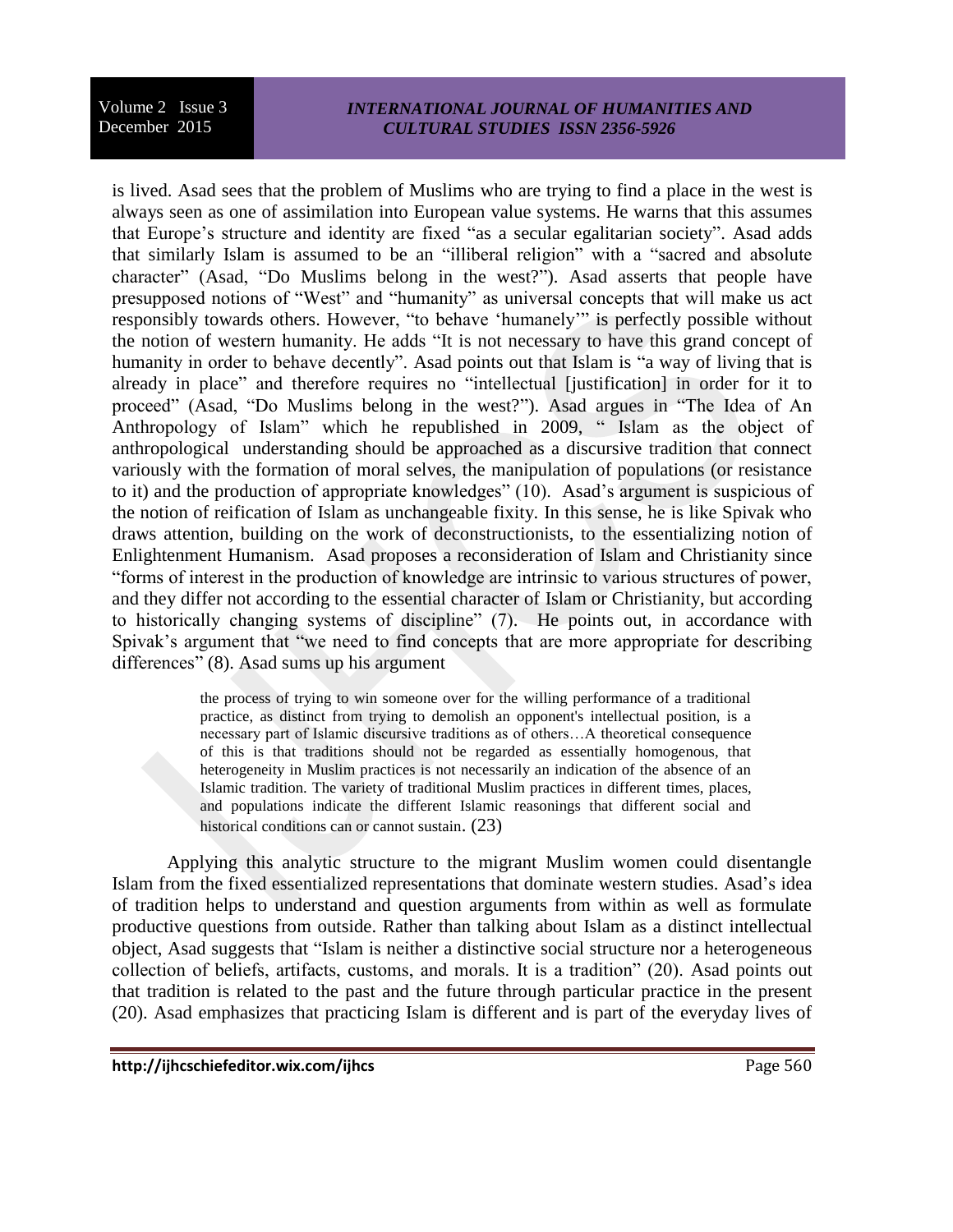## *INTERNATIONAL JOURNAL OF HUMANITIES AND CULTURAL STUDIES ISSN 2356-5926*

is lived. Asad sees that the problem of Muslims who are trying to find a place in the west is always seen as one of assimilation into European value systems. He warns that this assumes that Europe's structure and identity are fixed "as a secular egalitarian society". Asad adds that similarly Islam is assumed to be an "illiberal religion" with a "sacred and absolute character" (Asad, "Do Muslims belong in the west?"). Asad asserts that people have presupposed notions of "West" and "humanity" as universal concepts that will make us act responsibly towards others. However, "to behave 'humanely'" is perfectly possible without the notion of western humanity. He adds "It is not necessary to have this grand concept of humanity in order to behave decently". Asad points out that Islam is "a way of living that is already in place" and therefore requires no "intellectual [justification] in order for it to proceed" (Asad, "Do Muslims belong in the west?"). Asad argues in "The Idea of An Anthropology of Islam" which he republished in 2009, " Islam as the object of anthropological understanding should be approached as a discursive tradition that connect variously with the formation of moral selves, the manipulation of populations (or resistance to it) and the production of appropriate knowledges" (10). Asad's argument is suspicious of the notion of reification of Islam as unchangeable fixity. In this sense, he is like Spivak who draws attention, building on the work of deconstructionists, to the essentializing notion of Enlightenment Humanism. Asad proposes a reconsideration of Islam and Christianity since "forms of interest in the production of knowledge are intrinsic to various structures of power, and they differ not according to the essential character of Islam or Christianity, but according to historically changing systems of discipline" (7). He points out, in accordance with Spivak's argument that "we need to find concepts that are more appropriate for describing differences" (8). Asad sums up his argument

> the process of trying to win someone over for the willing performance of a traditional practice, as distinct from trying to demolish an opponent's intellectual position, is a necessary part of Islamic discursive traditions as of others…A theoretical consequence of this is that traditions should not be regarded as essentially homogenous, that heterogeneity in Muslim practices is not necessarily an indication of the absence of an Islamic tradition. The variety of traditional Muslim practices in different times, places, and populations indicate the different Islamic reasonings that different social and historical conditions can or cannot sustain.  $(23)$

Applying this analytic structure to the migrant Muslim women could disentangle Islam from the fixed essentialized representations that dominate western studies. Asad's idea of tradition helps to understand and question arguments from within as well as formulate productive questions from outside. Rather than talking about Islam as a distinct intellectual object, Asad suggests that "Islam is neither a distinctive social structure nor a heterogeneous collection of beliefs, artifacts, customs, and morals. It is a tradition" (20). Asad points out that tradition is related to the past and the future through particular practice in the present (20). Asad emphasizes that practicing Islam is different and is part of the everyday lives of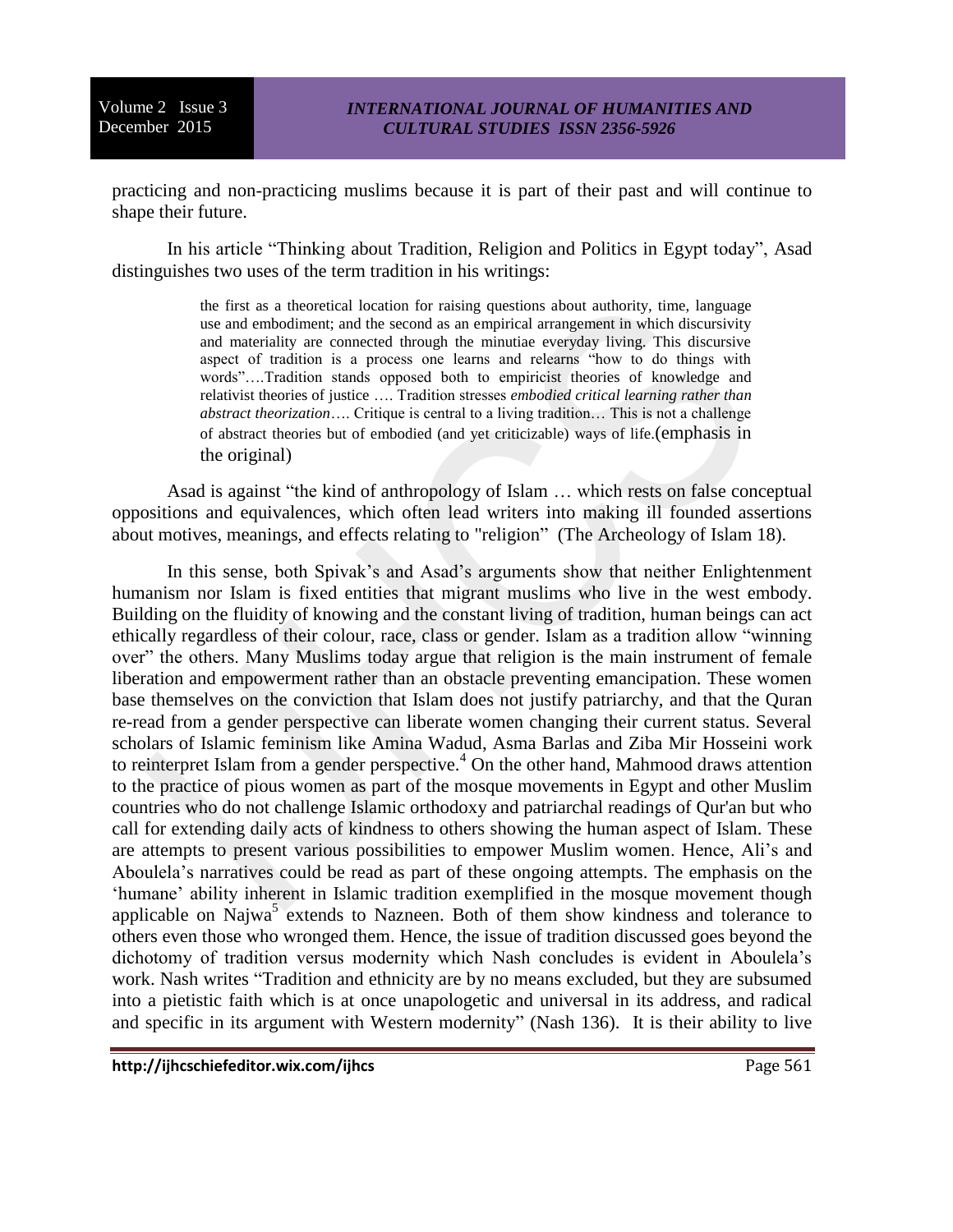practicing and non-practicing muslims because it is part of their past and will continue to shape their future.

In his article "Thinking about Tradition, Religion and Politics in Egypt today", Asad distinguishes two uses of the term tradition in his writings:

> the first as a theoretical location for raising questions about authority, time, language use and embodiment; and the second as an empirical arrangement in which discursivity and materiality are connected through the minutiae everyday living. This discursive aspect of tradition is a process one learns and relearns "how to do things with words"….Tradition stands opposed both to empiricist theories of knowledge and relativist theories of justice …. Tradition stresses *embodied critical learning rather than abstract theorization*…. Critique is central to a living tradition… This is not a challenge of abstract theories but of embodied (and yet criticizable) ways of life.(emphasis in the original)

Asad is against "the kind of anthropology of Islam … which rests on false conceptual oppositions and equivalences, which often lead writers into making ill founded assertions about motives, meanings, and effects relating to "religion" (The Archeology of Islam 18).

In this sense, both Spivak's and Asad's arguments show that neither Enlightenment humanism nor Islam is fixed entities that migrant muslims who live in the west embody. Building on the fluidity of knowing and the constant living of tradition, human beings can act ethically regardless of their colour, race, class or gender. Islam as a tradition allow "winning over" the others. Many Muslims today argue that religion is the main instrument of female liberation and empowerment rather than an obstacle preventing emancipation. These women base themselves on the conviction that Islam does not justify patriarchy, and that the Quran re-read from a gender perspective can liberate women changing their current status. Several scholars of Islamic feminism like Amina Wadud, Asma Barlas and Ziba Mir Hosseini work to reinterpret Islam from a gender perspective.<sup>4</sup> On the other hand, Mahmood draws attention to the practice of pious women as part of the mosque movements in Egypt and other Muslim countries who do not challenge Islamic orthodoxy and patriarchal readings of Qur'an but who call for extending daily acts of kindness to others showing the human aspect of Islam. These are attempts to present various possibilities to empower Muslim women. Hence, Ali's and Aboulela's narratives could be read as part of these ongoing attempts. The emphasis on the 'humane' ability inherent in Islamic tradition exemplified in the mosque movement though applicable on Najwa<sup>5</sup> extends to Nazneen. Both of them show kindness and tolerance to others even those who wronged them. Hence, the issue of tradition discussed goes beyond the dichotomy of tradition versus modernity which Nash concludes is evident in Aboulela's work. Nash writes "Tradition and ethnicity are by no means excluded, but they are subsumed into a pietistic faith which is at once unapologetic and universal in its address, and radical and specific in its argument with Western modernity" (Nash 136). It is their ability to live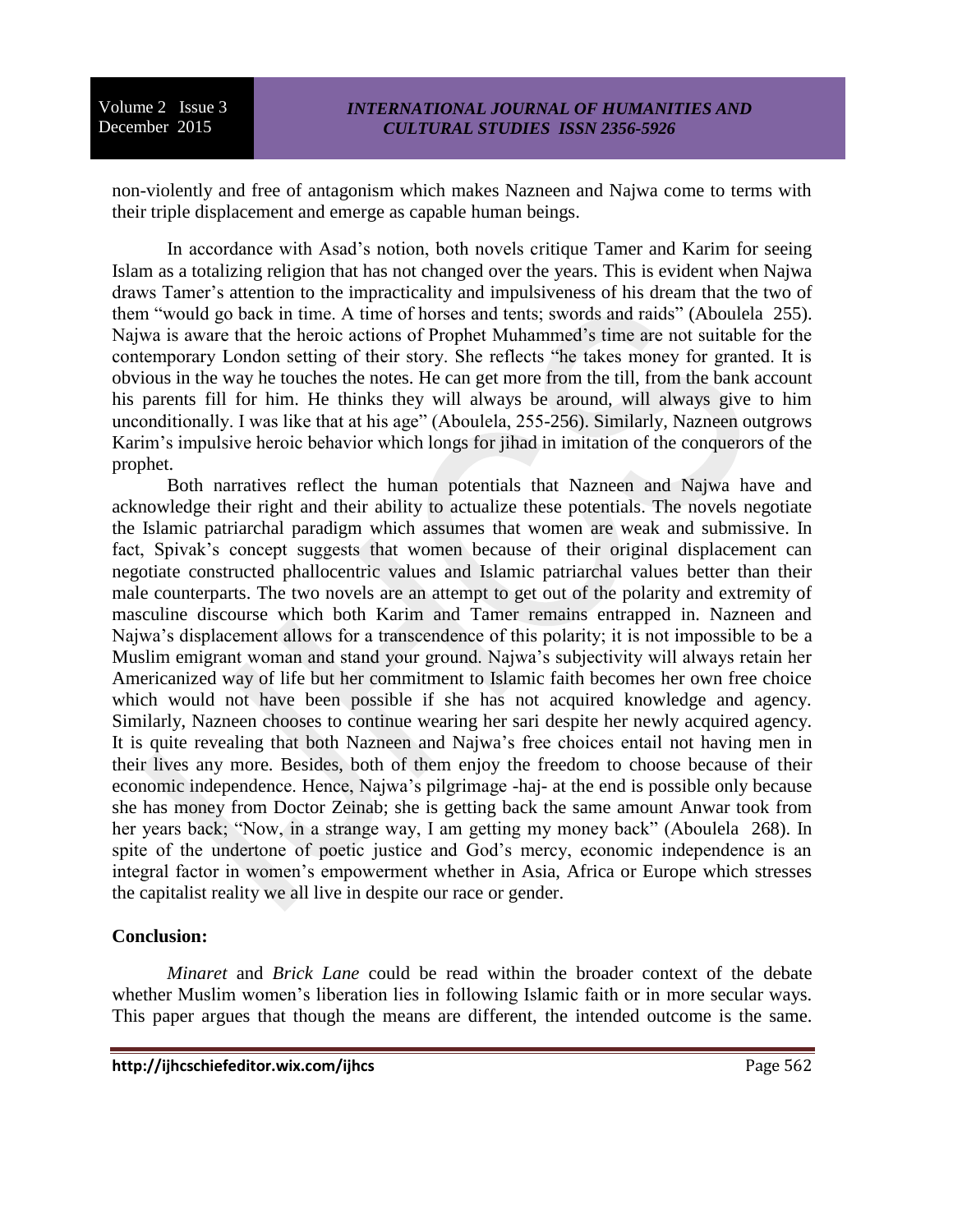non-violently and free of antagonism which makes Nazneen and Najwa come to terms with their triple displacement and emerge as capable human beings.

In accordance with Asad's notion, both novels critique Tamer and Karim for seeing Islam as a totalizing religion that has not changed over the years. This is evident when Najwa draws Tamer's attention to the impracticality and impulsiveness of his dream that the two of them "would go back in time. A time of horses and tents; swords and raids" (Aboulela 255). Najwa is aware that the heroic actions of Prophet Muhammed's time are not suitable for the contemporary London setting of their story. She reflects "he takes money for granted. It is obvious in the way he touches the notes. He can get more from the till, from the bank account his parents fill for him. He thinks they will always be around, will always give to him unconditionally. I was like that at his age" (Aboulela, 255-256). Similarly, Nazneen outgrows Karim's impulsive heroic behavior which longs for jihad in imitation of the conquerors of the prophet.

Both narratives reflect the human potentials that Nazneen and Najwa have and acknowledge their right and their ability to actualize these potentials. The novels negotiate the Islamic patriarchal paradigm which assumes that women are weak and submissive. In fact, Spivak's concept suggests that women because of their original displacement can negotiate constructed phallocentric values and Islamic patriarchal values better than their male counterparts. The two novels are an attempt to get out of the polarity and extremity of masculine discourse which both Karim and Tamer remains entrapped in. Nazneen and Najwa's displacement allows for a transcendence of this polarity; it is not impossible to be a Muslim emigrant woman and stand your ground. Najwa's subjectivity will always retain her Americanized way of life but her commitment to Islamic faith becomes her own free choice which would not have been possible if she has not acquired knowledge and agency. Similarly, Nazneen chooses to continue wearing her sari despite her newly acquired agency. It is quite revealing that both Nazneen and Najwa's free choices entail not having men in their lives any more. Besides, both of them enjoy the freedom to choose because of their economic independence. Hence, Najwa's pilgrimage -haj- at the end is possible only because she has money from Doctor Zeinab; she is getting back the same amount Anwar took from her years back; "Now, in a strange way, I am getting my money back" (Aboulela 268). In spite of the undertone of poetic justice and God's mercy, economic independence is an integral factor in women's empowerment whether in Asia, Africa or Europe which stresses the capitalist reality we all live in despite our race or gender.

## **Conclusion:**

*Minaret* and *Brick Lane* could be read within the broader context of the debate whether Muslim women's liberation lies in following Islamic faith or in more secular ways. This paper argues that though the means are different, the intended outcome is the same.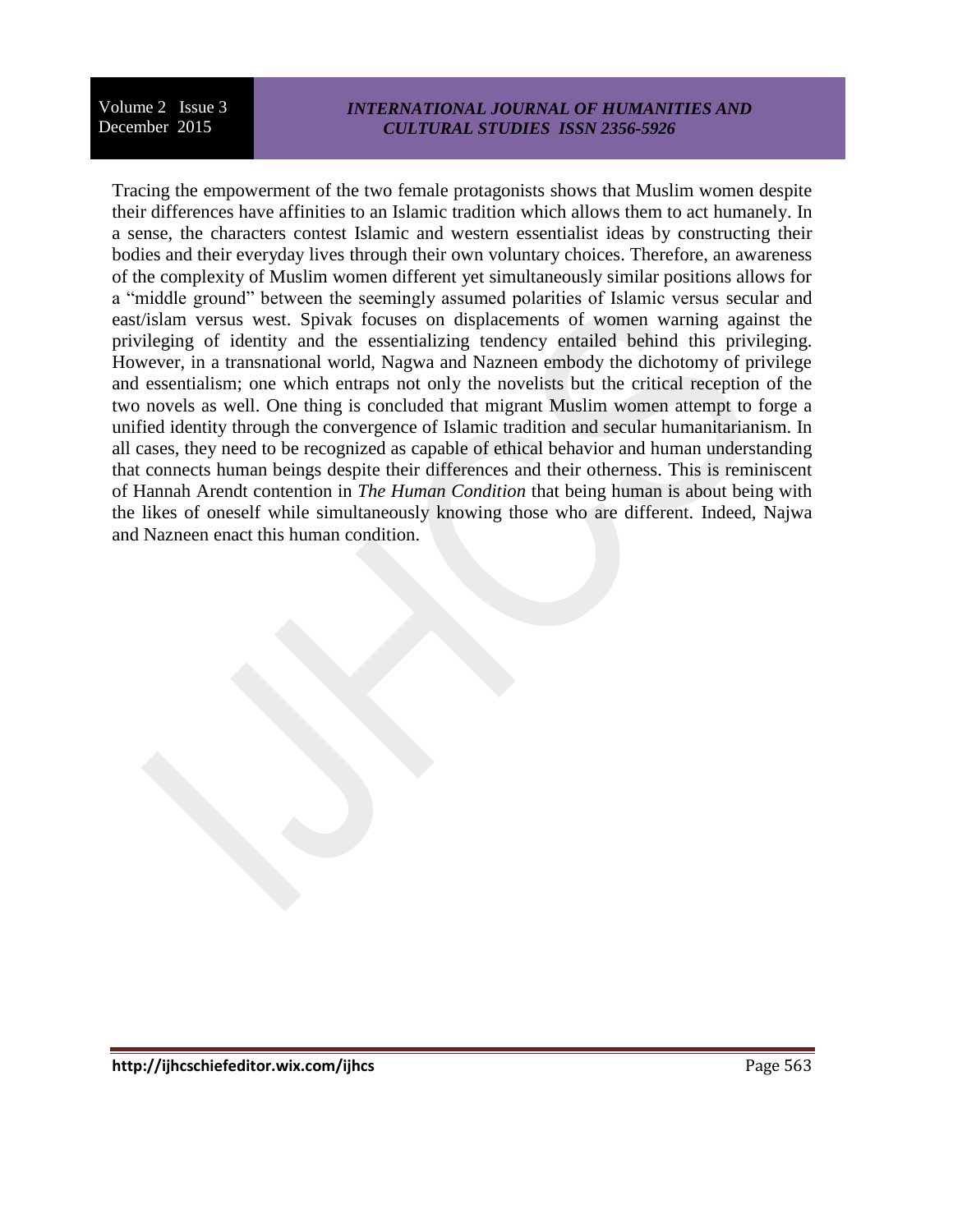## *INTERNATIONAL JOURNAL OF HUMANITIES AND CULTURAL STUDIES ISSN 2356-5926*

Tracing the empowerment of the two female protagonists shows that Muslim women despite their differences have affinities to an Islamic tradition which allows them to act humanely. In a sense, the characters contest Islamic and western essentialist ideas by constructing their bodies and their everyday lives through their own voluntary choices. Therefore, an awareness of the complexity of Muslim women different yet simultaneously similar positions allows for a "middle ground" between the seemingly assumed polarities of Islamic versus secular and east/islam versus west. Spivak focuses on displacements of women warning against the privileging of identity and the essentializing tendency entailed behind this privileging. However, in a transnational world, Nagwa and Nazneen embody the dichotomy of privilege and essentialism; one which entraps not only the novelists but the critical reception of the two novels as well. One thing is concluded that migrant Muslim women attempt to forge a unified identity through the convergence of Islamic tradition and secular humanitarianism. In all cases, they need to be recognized as capable of ethical behavior and human understanding that connects human beings despite their differences and their otherness. This is reminiscent of Hannah Arendt contention in *The Human Condition* that being human is about being with the likes of oneself while simultaneously knowing those who are different. Indeed, Najwa and Nazneen enact this human condition.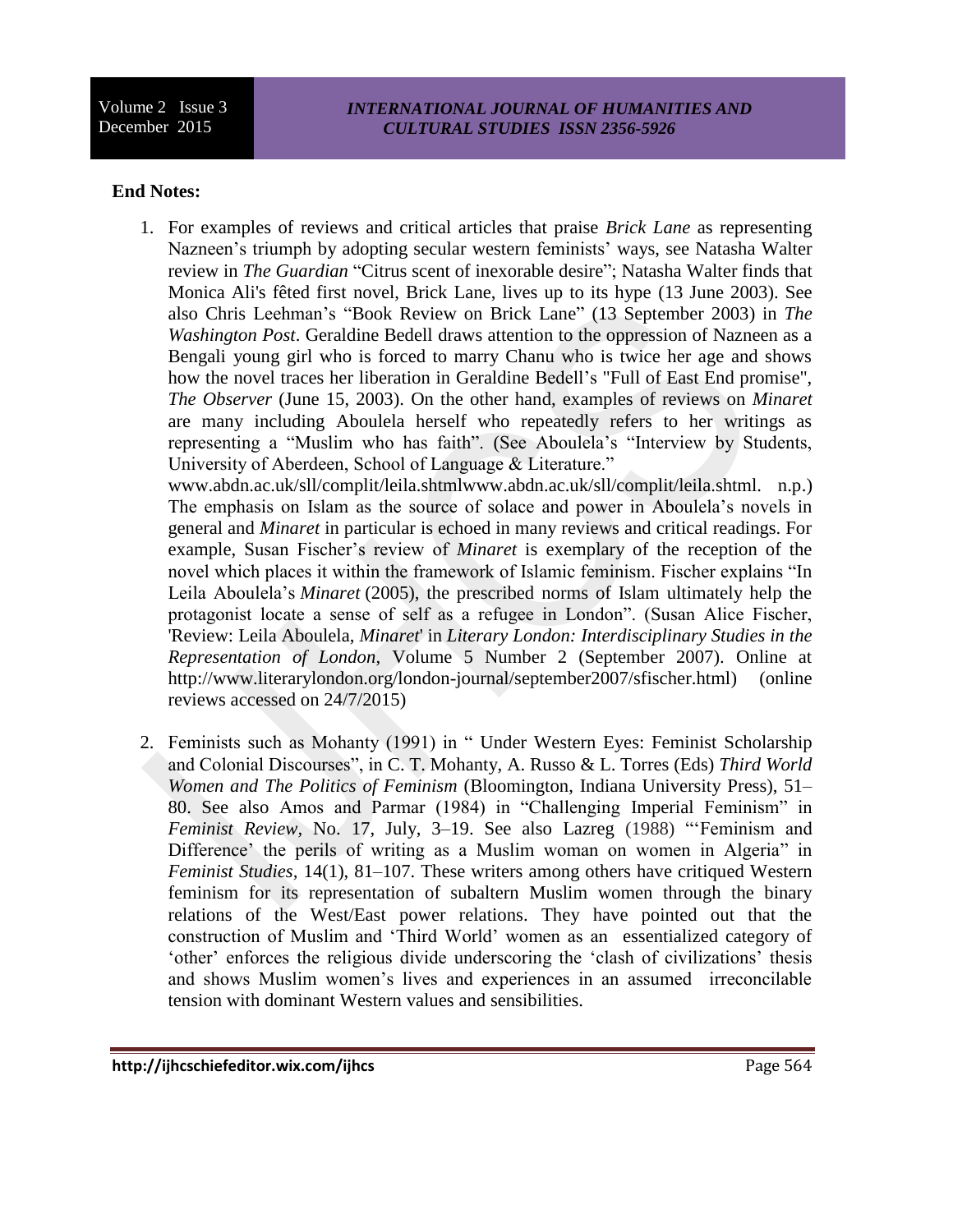## *INTERNATIONAL JOURNAL OF HUMANITIES AND CULTURAL STUDIES ISSN 2356-5926*

## **End Notes:**

1. For examples of reviews and critical articles that praise *Brick Lane* as representing Nazneen's triumph by adopting secular western feminists' ways, see Natasha Walter review in *The Guardian* "Citrus scent of inexorable desire"; Natasha Walter finds that Monica Ali's fêted first novel, Brick Lane, lives up to its hype (13 June 2003). See also Chris Leehman's "Book Review on Brick Lane" (13 September 2003) in *The Washington Post*. Geraldine Bedell draws attention to the oppression of Nazneen as a Bengali young girl who is forced to marry Chanu who is twice her age and shows how the novel traces her liberation in Geraldine Bedell's "Full of East End promise", *The Observer* (June 15, 2003). On the other hand, examples of reviews on *Minaret*  are many including Aboulela herself who repeatedly refers to her writings as representing a "Muslim who has faith". (See Aboulela's "Interview by Students, University of Aberdeen, School of Language & Literature."

www.abdn.ac.uk/sll/complit/leila.shtmlwww.abdn.ac.uk/sll/complit/leila.shtml. n.p.) The emphasis on Islam as the source of solace and power in Aboulela's novels in general and *Minaret* in particular is echoed in many reviews and critical readings. For example, Susan Fischer's review of *Minaret* is exemplary of the reception of the novel which places it within the framework of Islamic feminism. Fischer explains "In Leila Aboulela's *Minaret* (2005), the prescribed norms of Islam ultimately help the protagonist locate a sense of self as a refugee in London". (Susan Alice Fischer, 'Review: Leila Aboulela, *Minaret*' in *Literary London: Interdisciplinary Studies in the Representation of London*, Volume 5 Number 2 (September 2007). Online at http://www.literarylondon.org/london-journal/september2007/sfischer.html) (online reviews accessed on 24/7/2015)

2. Feminists such as Mohanty (1991) in " Under Western Eyes: Feminist Scholarship and Colonial Discourses", in C. T. Mohanty, A. Russo & L. Torres (Eds) *Third World Women and The Politics of Feminism* (Bloomington, Indiana University Press), 51– 80. See also Amos and Parmar (1984) in "Challenging Imperial Feminism" in *Feminist Review,* No. 17, July, 3–19. See also Lazreg (1988) "'Feminism and Difference' the perils of writing as a Muslim woman on women in Algeria" in *Feminist Studies,* 14(1), 81–107. These writers among others have critiqued Western feminism for its representation of subaltern Muslim women through the binary relations of the West/East power relations. They have pointed out that the construction of Muslim and 'Third World' women as an essentialized category of 'other' enforces the religious divide underscoring the 'clash of civilizations' thesis and shows Muslim women's lives and experiences in an assumed irreconcilable tension with dominant Western values and sensibilities.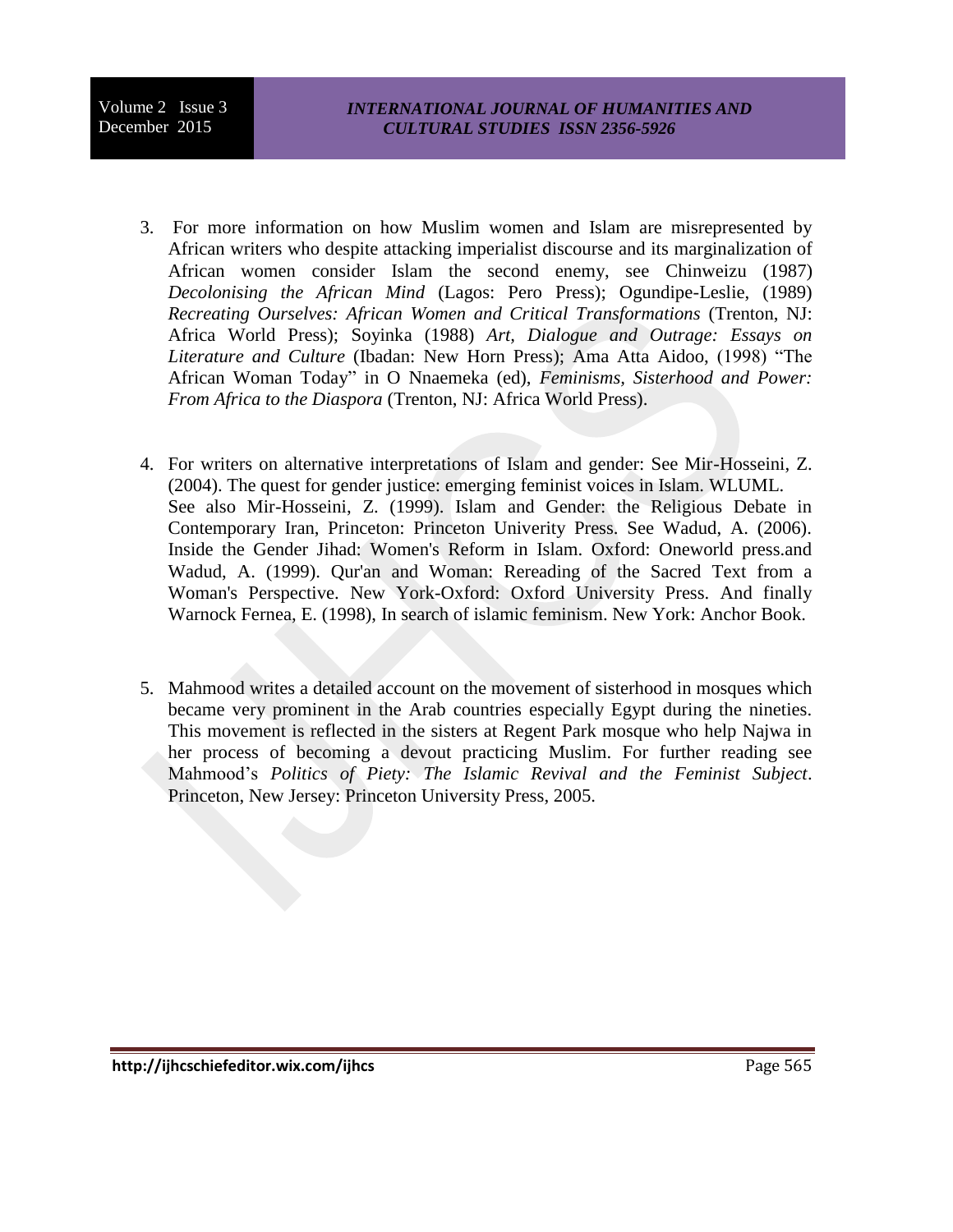- 3. For more information on how Muslim women and Islam are misrepresented by African writers who despite attacking imperialist discourse and its marginalization of African women consider Islam the second enemy, see Chinweizu (1987) *Decolonising the African Mind* (Lagos: Pero Press); Ogundipe-Leslie, (1989) *Recreating Ourselves: African Women and Critical Transformations* (Trenton, NJ: Africa World Press); Soyinka (1988) *Art, Dialogue and Outrage: Essays on Literature and Culture* (Ibadan: New Horn Press); Ama Atta Aidoo, (1998) "The African Woman Today" in O Nnaemeka (ed), *Feminisms, Sisterhood and Power: From Africa to the Diaspora* (Trenton, NJ: Africa World Press).
- 4. For writers on alternative interpretations of Islam and gender: See Mir-Hosseini, Z. (2004). The quest for gender justice: emerging feminist voices in Islam. WLUML. See also Mir-Hosseini, Z. (1999). Islam and Gender: the Religious Debate in Contemporary Iran, Princeton: Princeton Univerity Press. See Wadud, A. (2006). Inside the Gender Jihad: Women's Reform in Islam. Oxford: Oneworld press.and Wadud, A. (1999). Qur'an and Woman: Rereading of the Sacred Text from a Woman's Perspective. New York-Oxford: Oxford University Press. And finally Warnock Fernea, E. (1998), In search of islamic feminism. New York: Anchor Book.
- 5. Mahmood writes a detailed account on the movement of sisterhood in mosques which became very prominent in the Arab countries especially Egypt during the nineties. This movement is reflected in the sisters at Regent Park mosque who help Najwa in her process of becoming a devout practicing Muslim. For further reading see Mahmood's *Politics of Piety: The Islamic Revival and the Feminist Subject*. Princeton, New Jersey: Princeton University Press, 2005.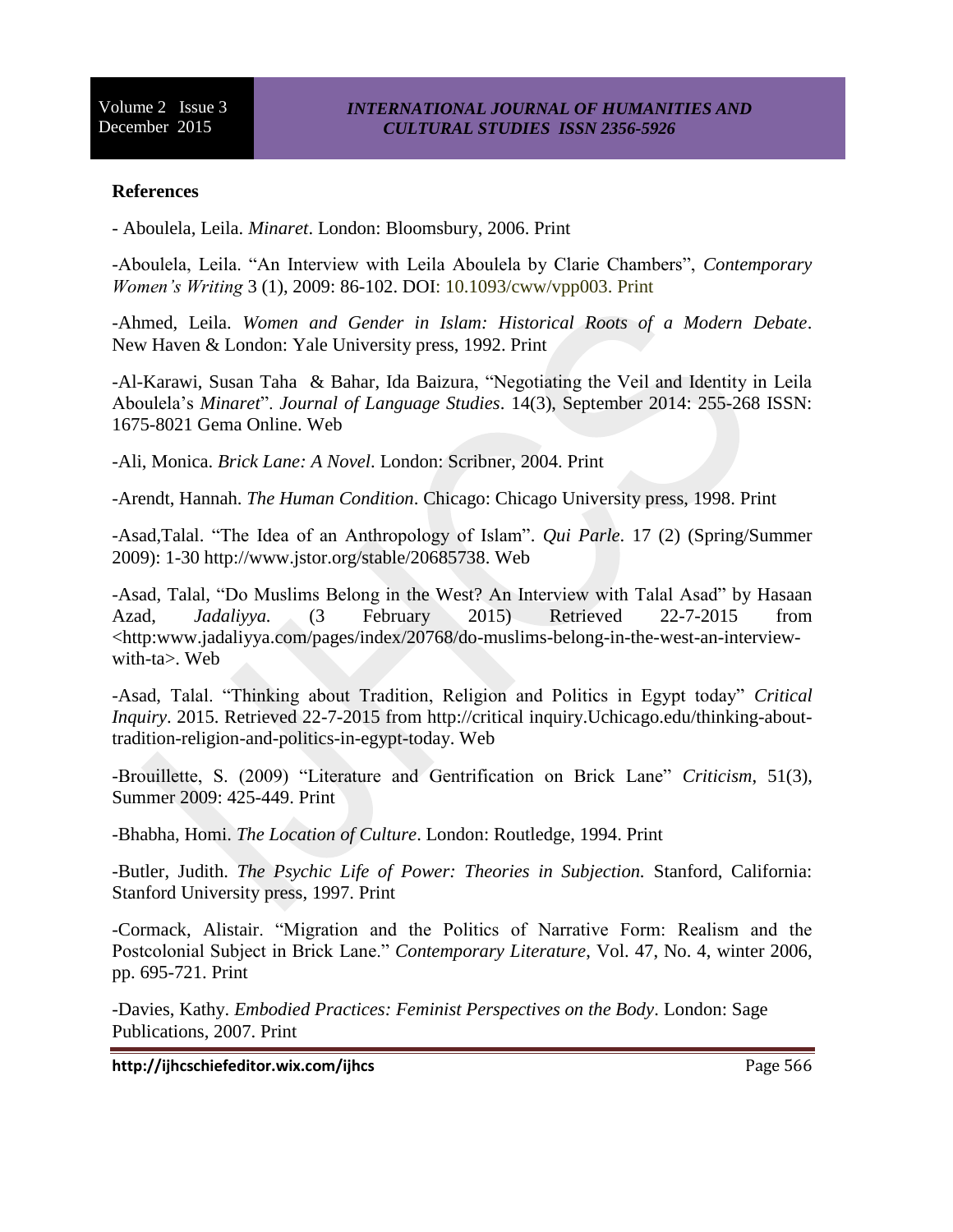## **References**

- Aboulela, Leila. *Minaret*. London: Bloomsbury, 2006. Print

-Aboulela, Leila. "An Interview with Leila Aboulela by Clarie Chambers", *Contemporary Women's Writing* 3 (1), 2009: 86-102. DOI: 10.1093/cww/vpp003. Print

-Ahmed, Leila. *Women and Gender in Islam: Historical Roots of a Modern Debate*. New Haven & London: Yale University press, 1992. Print

-Al-Karawi, Susan Taha & Bahar, Ida Baizura, "Negotiating the Veil and Identity in Leila Aboulela's *Minaret*". *Journal of Language Studies*. 14(3), September 2014: 255-268 ISSN: 1675-8021 Gema Online. Web

-Ali, Monica. *Brick Lane: A Novel*. London: Scribner, 2004. Print

-Arendt, Hannah. *The Human Condition*. Chicago: Chicago University press, 1998. Print

-Asad,Talal. "The Idea of an Anthropology of Islam". *Qui Parle*. 17 (2) (Spring/Summer 2009): 1-30 http://www.jstor.org/stable/20685738. Web

-Asad, Talal, "Do Muslims Belong in the West? An Interview with Talal Asad" by Hasaan Azad, *Jadaliyya.* (3 February 2015) Retrieved 22-7-2015 from <http:www.jadaliyya.com/pages/index/20768/do-muslims-belong-in-the-west-an-interviewwith-ta>. Web

-Asad, Talal. "Thinking about Tradition, Religion and Politics in Egypt today" *Critical Inquiry*. 2015. Retrieved 22-7-2015 from http://critical inquiry.Uchicago.edu/thinking-abouttradition-religion-and-politics-in-egypt-today. Web

-Brouillette, S. (2009) "Literature and Gentrification on Brick Lane" *Criticism*, 51(3), Summer 2009: 425-449. Print

-Bhabha, Homi. *The Location of Culture*. London: Routledge, 1994. Print

-Butler, Judith. *The Psychic Life of Power: Theories in Subjection.* Stanford, California: Stanford University press, 1997. Print

-Cormack, Alistair. "Migration and the Politics of Narrative Form: Realism and the Postcolonial Subject in Brick Lane." *Contemporary Literature*, Vol. 47, No. 4, winter 2006, pp. 695-721. Print

-Davies, Kathy. *Embodied Practices: Feminist Perspectives on the Body*. London: Sage Publications, 2007. Print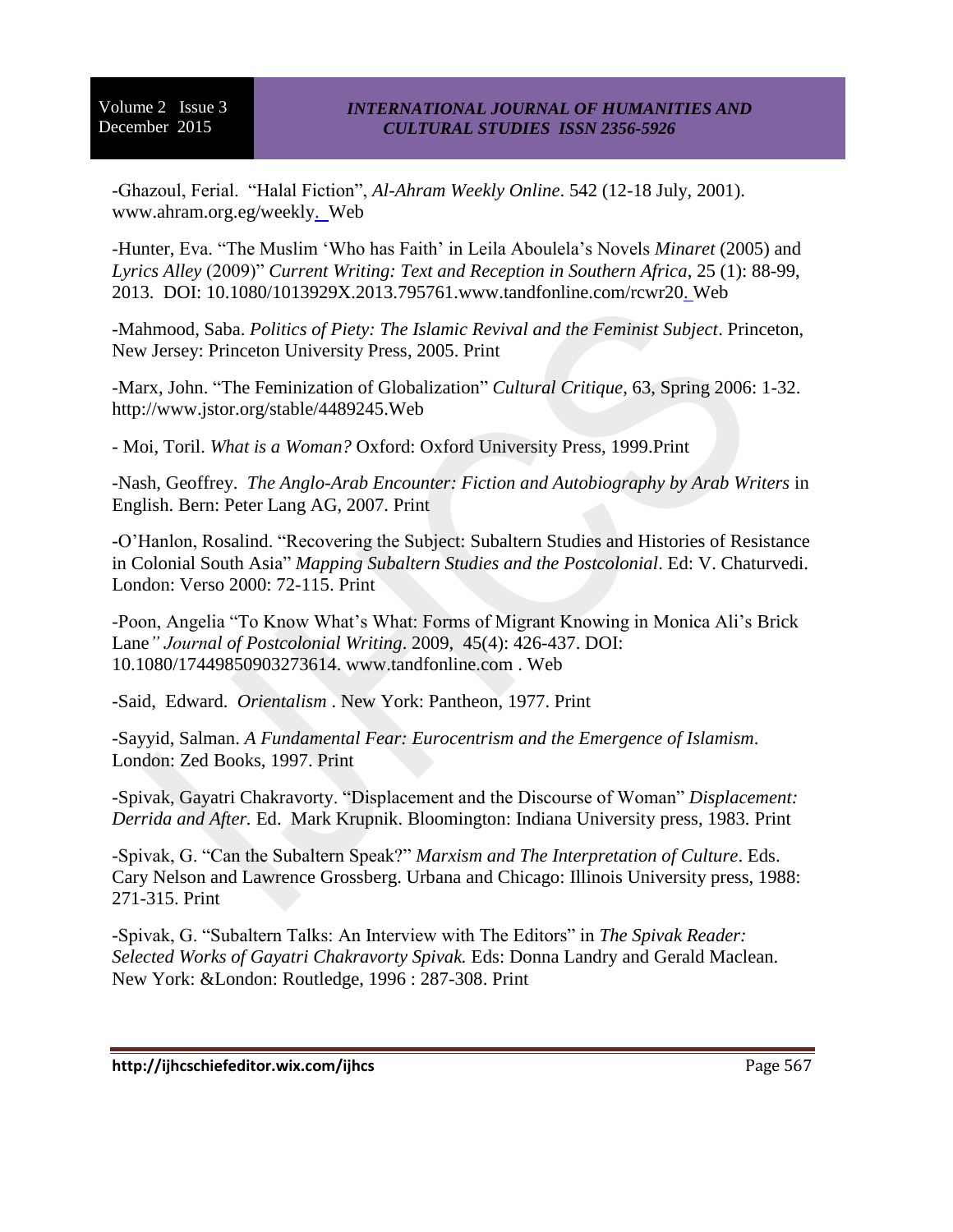-Ghazoul, Ferial. "Halal Fiction", *Al-Ahram Weekly Online*. 542 (12-18 July, 2001). www.ahram.org.eg/weekly. Web

-Hunter, Eva. "The Muslim 'Who has Faith' in Leila Aboulela's Novels *Minaret* (2005) and *Lyrics Alley* (2009)" *Current Writing: Text and Reception in Southern Africa*, 25 (1): 88-99, 2013. DOI: 10.1080/1013929X.2013.795761.www.tandfonline.com/rcwr20. Web

-Mahmood, Saba. *Politics of Piety: The Islamic Revival and the Feminist Subject*. Princeton, New Jersey: Princeton University Press, 2005. Print

-Marx, John. "The Feminization of Globalization" *Cultural Critique*, 63, Spring 2006: 1-32. http://www.jstor.org/stable/4489245.Web

- Moi, Toril. *What is a Woman?* Oxford: Oxford University Press, 1999.Print

-Nash, Geoffrey. *The Anglo-Arab Encounter: Fiction and Autobiography by Arab Writers* in English. Bern: Peter Lang AG, 2007. Print

-O'Hanlon, Rosalind. "Recovering the Subject: Subaltern Studies and Histories of Resistance in Colonial South Asia" *Mapping Subaltern Studies and the Postcolonial*. Ed: V. Chaturvedi. London: Verso 2000: 72-115. Print

-Poon, Angelia "To Know What's What: Forms of Migrant Knowing in Monica Ali's Brick Lane*" Journal of Postcolonial Writing*. 2009, 45(4): 426-437. DOI: 10.1080/17449850903273614. www.tandfonline.com . Web

-Said, Edward. *Orientalism* . New York: Pantheon, 1977. Print

-Sayyid, Salman. *A Fundamental Fear: Eurocentrism and the Emergence of Islamism*. London: Zed Books, 1997. Print

-Spivak, Gayatri Chakravorty. "Displacement and the Discourse of Woman" *Displacement: Derrida and After.* Ed. Mark Krupnik. Bloomington: Indiana University press, 1983. Print

-Spivak, G. "Can the Subaltern Speak?" *Marxism and The Interpretation of Culture*. Eds. Cary Nelson and Lawrence Grossberg. Urbana and Chicago: Illinois University press, 1988: 271-315. Print

-Spivak, G. "Subaltern Talks: An Interview with The Editors" in *The Spivak Reader: Selected Works of Gayatri Chakravorty Spivak.* Eds: Donna Landry and Gerald Maclean. New York: &London: Routledge, 1996 : 287-308. Print